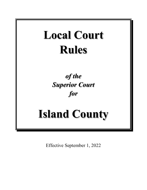# **Local Court Rules**

*of the Superior Court for* 

# **Island County**

Effective September 1, 2022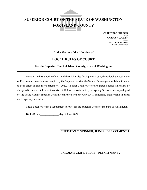

# **SUPERIOR COURT OF THE STATE OF WASHINGTON FOR ISLAND COUNTY**

**CHRISTON C. SKINNER** *Judge* **CAROLYN C. CLIFF** *Judge* **MEGAN FRAZIER** *Court Administrator*

# **In the Matter of the Adoption of**

# **LOCAL RULES OF COURT**

#### **For the Superior Court of Island County, State of Washington**

Pursuant to the authority of CR 83 of the Civil Rules for Superior Court, the following Local Rules of Practice and Procedure are adopted by the Superior Court of the State of Washington for Island County, to be in effect on and after September 1, 2022. All other Local Rules or designated Special Rules shall be abrogated to the extent they are inconsistent. Unless otherwise noted, Emergency Orders previously adopted by the Island County Superior Court in connection with the COVID-19 pandemic, shall remain in effect until expressly rescinded.

These Local Rules are a supplement to Rules for the Superior Courts of the State of Washington.

**DATED** this day of June, 2022.

#### **\_\_\_\_\_\_\_\_\_\_\_\_\_\_\_\_\_\_\_\_\_\_\_\_\_\_\_\_\_\_\_\_\_\_\_\_\_\_\_\_\_\_\_\_\_\_\_\_ CHRISTON C. SKINNER, JUDGE DEPARTMENT 1**

#### **\_\_\_\_\_\_\_\_\_\_\_\_\_\_\_\_\_\_\_\_\_\_\_\_\_\_\_\_\_\_\_\_\_\_\_\_\_\_\_\_\_\_\_\_\_\_\_\_ CAROLYN CLIFF, JUDGE DEPARTMENT 2**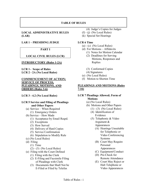# **TABLE OF RULES**

**LOCAL ADMINISTRATIVE RULES (LAR)**

# **LAR 1 – PRESIDING JUDGE**

# **PART I**

**LOCAL CIVIL RULES (LCR)**

#### **INTRODUCTORY (Rules 1-2A)**

**LCR 1 - Scope of Rules LCR 2 - 2A (No Local Rules)**

**COMMENCEMENT OF ACTION; SERVICE OF PROCESS, PLEADINGS, MOTIONS, AND ORDERS (Rules 3-6)**

**LCR 3 - 4.2 (No Local Rules)**

# **LCR 5 Service and Filing of Pleadings and Other Papers**

- (a) Service When Required (1) Emergency Orders
- (b) Service How Made
	- (1) Acceptance by Email Reqrd.
	- (2) Exceptions
	- (3) How Served
	- (4) Delivery of Hard Copies
	- (5) Service Confirmation
	- (6) Stipulation to Modify Rule
- (c) (No Local Rules)
- (d) Filing
	- (1) Time
	- (2) (3) (No Local Rules)
- (e) Filing with the Court Defined
	- (1) Filing with the Clerk
	- (2) E-Filing and Facsimile Filing of Pleadings with Clerk
	- (3) Documents that Shall Not be E-Filed or Filed by Telefax
- (4) Judge's Copies for Judges
- (f) (j) (No Local Rules)
- (k) Special Set Hearings

# **LCR 6 Time**

- (a) (c) (No Local Rules)
- (d) For Motions Affidavits
	- (1) Notes for Motion Calendar
	- (2) Deadlines for Serving Motions, Responses and Replies
	- (3) Conformed Copies
	- (4) Signatures
- (e) (No Local Rules)
- (f) Motion to Shorten Time

# **PLEADINGS AND MOTIONS (Rules 7-16)**

# **LCR 7 Pleadings Allowed; Form of Motions**

- (a) (No Local Rules)
- (b) Motions and Other Papers (1) - (3) (No Local Rules)
	- (4) Identification of Evidence
	- (5) Telephonic & Video Argument & Appearances
		- (A) Hearings Unsuitable for Telephonic or Video Conferencing Systems
		- (B) Court May Require Personal Appearances
		- (C) Equipment/Conduct
		- (D) Pre-Check for Remote Attendance
		- (E) Court May Reject or Halt Telephone or Video Appearances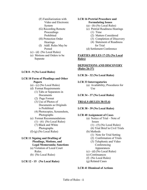- (F) Familiarization with Video and Electronic System
- (G) Recording Remote Proceedings Prohibited
- (H) Protection Order **Hearings**
- (I) Addl. Rules May be Posted
- (c) (d) (No Local Rules)
- (e) Motions and Orders to be Separate

# **LCR 8 - 9 (No Local Rules)**

# **LCR 10 Form of Pleadings and Other Papers**

- (a) (c) (No Local Rules)
- (d) Format Requirements
	- (1) Tabs or Separators in Documents
	- (2) Page Format
	- (3) Use of Photos of Documents as Originals is Prohibited
	- (4) Photocopies, Screenshots, Photographs
- (e) Format Recommendations
	- (1) (6) (No Local Rules)
		- (7) Black and White Photographs
- (f)-(g) (No Local Rules)

#### **LCR 11 Signing and Drafting of Pleadings, Motions, and Legal Memoranda; Sanctions**

- (a) Violation of Local Court Rules.
- (b) (No Local Rules)

# **LCR 12 - 15 (No Local Rules)**

#### **LCR 16 Pretrial Procedure and Formulating Issues**

- (a) (b) (No Local Rules)
- (c) Pretrial Readiness Hearings
	- (1) Time
	- (2) Matters Considered
	- (3) Completion of Discovery
	- (4) Statement of Readiness for Trial
- (d) Settlement Conference

# **PARTIES (RULES 17-25) (No Local Rules)**

# **DEPOSITIONS AND DISCOVERY (Rules 26-37)**

**LCR 26 - 32 (No Local Rules)**

# **LCR 33 Interrogatories**

(a) Availability; Procedures for Use

**LCR 34 - 37 (No Local Rules)**

# **TRIALS (RULES 38-53.4)**

# **LCR 38 - 39 (No Local Rules)**

# **LCR 40 Assignment of Cases**

- (a) Notice of Trial Note of Issues
	- (1) (5) (No Local Rules)
	- (6) Trial Brief in Civil Trials
- (b) Methods
	- (1) Note for Trial Setting
	- (2) Confirmation of Trials
	- (3) Telephonic and Video Conferencing Appearances
- (c) (d) (No Local Rules)
- (e) Continuances
- (f) (No Local Rules)
- (g) Related Cases

# **LCR 41 Dismissal of Actions**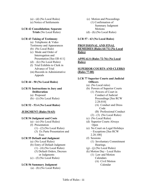(a) - (d) (No Local Rules) (e) Notice of Settlements

# **LCR 42 Consolidation; Separate**

**Trials** (No Local Rules)

# **LCR 43 Taking of Testimony**

- (a) Telephonic & Video Testimony and Appearances
- (b) (No Local Rule)
- (c) Mode and Order of Interrogation and Presentation [See ER 611]
- $(d) (k)$  (No Local Rules)
- (l) Trial Exhibits to Clerk in Advance of Trial
- (m) Records in Administrative Appeals

# **LCR 44 - 50 (No Local Rules)**

# **LCR 51 Instructions to Jury and Deliberation**

- (a) Proposed
- (b) (i) (No Local Rules)

# **LCR 52 - 53.4 (No Local Rules)**

# **JUDGMENT (Rules 54-63)**

# **LCR 54 Judgment and Costs**

- (a) (e) (No Local Rules)
- (f) Presentation
	- (1) (2) (No Local Rules)
	- (3) Ex Parte Presentation and Fees

# **LCR 55 Default and Judgment**

- (a) (No Local Rules)
- (b) Entry of Default Judgment
	- (1) (4) (No Local Rules)
	- (5) Default Orders, Decrees or Judgments
- (c) (f) (No Local Rules)

# **LCR 56 Summary Judgment**

(a) - (b) (No Local Rules)

- (c) Motion and Proceedings (1) Confirmation of
	- Summary Judgment **Motions**
- (d) (h) (No Local Rules)

# **LCR 57 - 63 (No Local Rules)**

# **PROVISIONAL AND FINAL REMEDIES (Rules 64-71) (No Local Rules)**

# **APPEALS (Rules 72-76) (No Local Rules)**

# **SUPERIOR COURTS AND CLERKS (Rules 77-80)**

# **LCR 77 Superior Courts and Judicial Officers**

- (a) (No Local rules)
- (b) Powers of Superior Courts (1) Powers of Court in
	- Conduct of Judicial Proceedings [See RCW 2.28.010]
		- (A) Conduct and Dress Code
		- (B) Professional Conduct
	- (2) (3) (No Local Rules)
- (c) (No Local Rules)
- (d) Superior Courts Always Open
- (e) No Court on Legal Holidays – Exceptions [See RCW
- 2.28.100]
- (f) Sessions
	- (1) Involuntary Commitment Hearings.
- (g) (j) (No Local Rules)
- (k) Motion Day Local Rules
	- (1) Law and Motion Calendars
		- (A) Civil Motion Calendar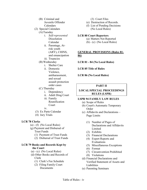- (B) Criminal and Juvenile Offender Calendars
- (2) Special Calendars
	- (A)Tuesday
		- i. *Self-represented* **Dissolution** Calendar
		- ii. Parentage, Atrisk youth (ARY), CHINS, and emancipation
		- iii. Truancies
	- (B) Wednesday
		- i. Shelter Care
		- ii. Domestic Violence, antiharassment, and sexual assault protection order cases
	- (C) Thursday
		- i. Dependency
		- ii. Adult Drug Court
		- iii. Family Reunification Court
		- iv.
	- (3) Ex Parte Calendar
- (4) Jury Trials

# **LCR 78 Clerks**

- (a) (f) (No Local Rules)
- (g) Payment and Disbursal of Trust Funds
	- (1) Payment of Trust Funds
	- (2) Disbursal of Trust Funds

# **LCR 79 Books and Records Kept by the Court**

- (a) (c) (No Local Rules)
- (d) Other Books and Records of Clerk
	- (1) Clerk's Fee Schedule
	- (2) Filing Family Court **Documents**
- (3) Court Files
- (e) Destruction of Records.
- (f) List of Pending Decisions (No Local Rules)

#### **LCR 80 Court Reporters**

- (a) Matters Not Reported
- (b) (c) (No Local Rules)

# **GENERAL PROVISIONS (Rules 81- 86)**

**LCR 81 - 84 (No Local Rules)**

# **LCR 85 Title of Rules**

# **LCR 86 (No Local Rules)**

# **PART II**

**LOCAL/SPECIAL PROCEEDINGS RULES (LSPR)**

# **LSPR 94 FAMILY LAW RULES**

- (a) Scope of Rules
- (b) Court's Automatic Temporary Order
- (c) Affidavits and Declarations Page Limits
	- (1) Number of Pages of Declarations and Affidavits Limited
	- (2) Exhibits
	- (3) Financial Declarations
	- (4) Expert Reports and Evaluations
	- (5) Miscellaneous Exceptions
	- (6) Format
	- (7) Circumvention Prohibited
	- (8) Violations
- (d) Financial Declarations and Verified Statement of Assets and Liabilities
- (e) Parenting Seminars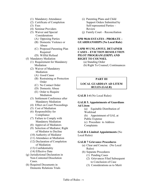- (1) Mandatory Attendance
- (2) Certificate of Completion
- (3) Fees
- (4) Seminar Providers
- (5) Waiver and Special Considerations
	- (A) Opposing Parties
	- (B) Domestic Violence or Abuse
	- (C) Proposed Parenting Plan Required
	- (D) Willful Refusal
- (f) Mandatory Mediation
	- (1) Requirement for Mandatory Mediation
	- (2) Waiver of Mandatory Mediation
		- (A) Good Cause
		- (B) Restraining or Protection Order
		- (C) No Contact Order
		- (D) Domestic Abuse
		- (E) Order to Require Mediation
	- (3) Settlement Conference after Mandatory Mediation
	- (4) Effect on Court Proceedings
	- (5) Cost of Mediation
	- (6) Responsibility for Compliance
	- (7) Failure to Comply with Mandatory Mediation
	- (8) Approval of Mediators
	- (9) Selection of Mediator; Right of Mediator to Decline
	- (10) Authority of Mediator
	- (11) Attendance at Mediation
	- (12) Declaration of Completion of Mediation
	- (13) Confidentiality
	- (14) Effective Date
- (g) Jurisdictional Declaration in Non-Contested Dissolution Cases.
- (h) Required Documents in Domestic Relations Trials
- (i) Parenting Plans and Child Support Orders Submitted by Self-represented Parties – Review
- (j) Family Court Reconciliation

# **SPR 98.04 ESTATES - PROBATE – GUARDIANSHIPS (No Local Rule)**

#### **LSPR 95 UNLAWFUL DETAINER CASES – EVICTION RESOLUTION PILOT PROGRAM (ERPP) AND RIGHT TO COUNSEL**

- (a) Standing Order
- (b) Right To Counsel; Continuances

# **PART III**

# **LOCAL GUARDIAN AD LITEM RULES (GALR)**

**GALR 1-4** (No Local Rules)

#### **GALR 5. Appointments of Guardians Ad Litem**

- (a) Equitable Distribution of Workload
- (b) Appointment of GAL at
- Public Expense

(c) Procedure to Address Complaints

**GALR 6 Limited Appointments** (No Local Rules)

#### **GALR 7 Grievance Procedures**

- (a) Clear and Concise. (No Local Rules)
- (b) Separate Procedures
	- (1) Pending Cases
	- (2) Grievances Filed Subsequent to Conclusion of Case
	- (3) Considerations as to Merit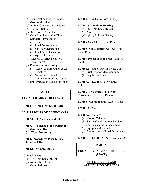- (c) Fair Treatment of Grievances. (No Local Rules)
- (d) VGAL Grievance Procedures.
- (e) Confidentiality
- (f) Response to Complaint.
- (g) Complaint Resolution Time Standards; Procedures
	- (1) Time
	- (2) Final Determination
	- (3) Sanctions/Discipline
	- (4) Finality of Disposition
	- (5) Appeal Process
- (h) Records of Grievances (No Local Rules)
- (i) Removal from Registry
	- (1) Removal from Other Local Registries
	- (2) Notice to Office of Administrator of the Courts
- (j) Implementation (No Local Rules)

# **PART IV**

# **LOCAL CRIMINAL RULES (LCrR)**

**LCrR 1 - LCrR 2 (No Local Rules**)

# **LCrR 3 RIGHTS OF DEFENDANTS**

# **LCrR 3.1-3.3 (No Local Rules.)**

#### **LCrR 3.4 –Presence of the Defendant**

- **(a) (No Local Rule.)**
- **(b) When Necessary**

#### **LCrR 4. Procedures Prior to Trial (Rules 4.1 – 4.10)**

#### **LCrR 4.1** (No Local Rules)

#### **LCrR 4.2 Pleas**

- $(a) (h)$  (No Local Rules)
- (i) Authority of Court Commissioner

#### **LCrR 4.3 – 4.4** (No Local Rules)

#### **LCrR 4.5 Omnibus Hearing**

- $(a) (c)$  (No Local Rules)
- (d) Motions
- $(e) (h)$  (No Local Rules)

#### **LCrR 4.6 - 4.10** (No Local Rules)

**LCrR 5 Venue (Rules 5.1 - 5.1)** (No Local Rules)

**LCrR 6 Procedures at Trial (Rules 6.1 - 6.16)**

**LCrR 6.1** Tria**l** by Jury or by the Court

- (a) Trial Brief or Memorandum
- (b) Jury Instructions

**LCrR 6.2 - LCrR 6.16** (No Local Rules)

**LCrR 7 Procedures Following Conviction** (No Local Rules)

#### **LCrR 8 Miscellaneous (Rules 8.1-8.9)**

#### **LCrR 8.1** Time

# **LCrR 8.2.** Motions

- (a) Motion Calendar
- (b) StarLeaf and Approved Video and Telephonic Appearances
- (c) Equipment/Conduct
- (d) Presentation of Final Documents

#### **LCrR 8.3 - LCrR 8.9** (No Local Rules)

#### **PART V**

# **LOCAL JUVENILE COURT RULES (LJuCR)**

#### **TITLE I. SCOPE AND APPLICATION OF RULES**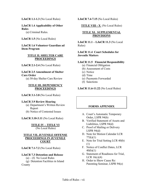**LJuCR 1.1-1.3** (No Local Rules)

# **LJuCR 1.4 Applicability of Other Rules**

(a) Criminal Rules.

# **LJuCR 1.5** (No Local Rules)

# **LJuCR 1.6 Volunteer Guardian ad litem Program**

#### **TITLE II. SHELTER CARE PROCEEDINGS**

**LJuCR 2.1-2.4** (No Local Rules)

# **LJuCR 2.5 Amendment of Shelter Care Order**

(a) 30-day Shelter Care Review

# **TITLE III. DEPENDENCY PROCEEDINGS**

**LJuCR 3.1-3.8** (No Local Rules)

# **LJuCR 3.9 Review Hearing**

- (a) Department's Written Review Report
- (b) Notice of Contested Issues

**LJuCR 3.10-3.11** (No Local Rules)

# **TITLE IV – TITLE VI** (No Local Rules)

# **TITLE VII. JUVENILE OFFENSE PROCEEDINGS IN JUVENILE COURT**

**LJuCR 7.1-7.2** (No Local Rules)

# **LJuCR 7.3 Detention and Release**

- $(a) (f)$  No Local Rules
- (g) Detention Facilities in Island County

**LJuCR 7.4-7.15** (No Local Rules)

# **TITLE VIII - X** (No Local Rules)

# **TITLE XI. SUPPLEMENTAL PROVISIONS**

**LJuCR 11.1 – LJuCR 11.3** (No Local Rules)

# **LJuCR 11.4 Court Schedules for Juvenile Matters**

# **LJuCR 11.5 Financial Responsibility**

- (a) Financial Obligation
- (b) Assessment of Costs
- (c) Notice
- (d) Time
- (e) Payments Forwarded
- (f) Sanctions

**LJuCR 11.6-11.22** (No Local Rules)

# **FORMS APPENDIX**

- A. Court's Automatic Temporary Order, LSPR 94(b)
- B. Verified Statement of Assets and Liabilities, LSPR 94(d)
- C. Proof of Mailing or Delivery LSPR 94(d)
- D. Note for Motion Calendar LCR  $77(k)(1)$
- E. Note for Trial Setting LCR 40(b) (1)
- F. Notice of Conflict Dates, LCR  $40(b)(1)$
- G. Statement of Readiness for Trial, LCR  $16(c)(4)$
- H. Order to Show Cause Re: Parenting Seminar, LSPR 94(e)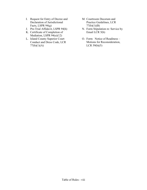- I. Request for Entry of Decree and Declaration of Jurisdictional Facts, LSPR 94(g)
- J. Pre-Trial Affidavit, LSPR 94(h)
- K. Certificate of Completion of Mediation, LSPR 94(e)(12)
- L. Island County Superior Court Conduct and Dress Code, LCR  $77(b)(1)(A)$
- M. Courtroom Decorum and Practice Guidelines, LCR 77(b)(1)(B)
- N. Form Stipulation re: Service by Email LCR 5(b)
- O. Form Notice of Readiness Motions for Reconsideration, LCR 59(b)(5)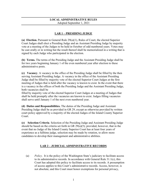# **LAR 1 – PRESIDING JUDGE**

**(a) Election.** Pursuant to General Rule 29(a)(1), Rules of Court, the elected Superior Court Judges shall elect a Presiding Judge and an Assistant Presiding Judge by majority vote at a meeting of the Judges to be held in October of odd numbered years. Votes may be cast orally or in writing but the result thereof shall be memorialized in a writing that is signed by each Judge who participated in the election.

**(b) Terms.** The terms of the Presiding Judge and the Assistant Presiding Judge shall be for two years beginning January 1 of the even numbered year after election to these administrative posts.

**(c) Vacancy**. A vacancy in the office of the Presiding Judge shall be filled by the then serving Assistant Presiding Judge. A vacancy in the office of the Assistant Presiding Judge shall be filled by majority vote of the elected Superior Court Judges at the first meeting of Judges that is held after the vacancy is known to exist. In the event that there is a vacancy in the offices of both the Presiding Judge and the Assistant Presiding Judge, both vacancies shall be

filled by majority vote of the elected Superior Court Judges at a meeting of Judges that shall be held promptly after the vacancies are known to exist. Judges filling vacancies shall serve until January 1 of the next even numbered year.

**(d) Duties and Responsibilities.** The duties of the Presiding Judge and Assistant Presiding Judge shall be as provided in GR 29, except as otherwise provided by written court policy approved by a majority of the elected Judges of the Island County Superior Court.

**(e) Selection Criteria**. Selection of the Presiding Judge and Assistant Presiding Judge should be based on the criteria set forth in GR 29(a)(5); provided, however, that in the event that no Judge of the Island County Superior Court has at least four years of experience as a fulltime judge, selection may be made by rotation, to allow more candidates to develop their management and administrative abilities.

# **LAR 2 – JUDICIAL ADMINISTRATIVE RECORDS**

(a) *Policy*. It is the policy of the Washington State's judiciary to facilitate access to its administrative records. In accordance with General Rule 31.1(c), this Court has adopted this policy to facilitate access to its records. A presumption of access applies to this Court's administrative records. Access, however, is not absolute, and this Court must honor exemptions for personal privacy,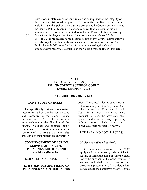restrictions in statutes and/or court rules, and as required for the integrity of the judicial decision-making process. To ensure its compliance with General Rule 31.1 and this policy, the Court has designated its Court Administrator as the Court's Public Records Officer and requires that requests for judicial administrative records be submitted to its Public Records Officer in writing.

(b) *Procedures for Requesting Access*. In accordance with General Rule 31.1(c)(2), the procedures for requesting access to this Court's administrative records, together with identification and contact information for this Court's Public Records Officer and a form for use in requesting this Court's administrative records, is available on the Court's website [insert link here].

#### **PART I LOCAL CIVIL RULES (LCR) ISLAND COUNTY SUPERIOR COURT** Effective September 1, 2022

#### **INTRODUCTORY (Rules 1-2A)**

#### **LCR 1 SCOPE OF RULES**

Unless specifically designated otherwise, these rules shall govern the local practice and procedure in the Island County Superior Court. These rules are subject to amendment at the direction of the judges. Counsel and litigants should check with the court administrator or county clerk to assure that the rules applicable to their matters are currently in

# **COMMENCEMENT OF ACTION; SERVICE OF PROCESS, PLEADINGS, MOTIONS AND ORDERS (Rules 3-6)**

#### **LCR 3 - 4.2 (NO LOCAL RULES)**

#### **LCR 5 SERVICE AND FILING OF PLEADINGS AND OTHER PAPERS**

effect. These local rules are supplemental to the Washington State Supreme Court Rules for Superior Court and Juvenile Court. In all cases where the word "counsel" is used, the provisions shall apply equally to a party appearing without counsel, which party is also known as a "self-represented party".

#### **LCR 2 - 2A** (**NO LOCAL RULES)**

#### **(a) Service - When Required.**

(1) *Emergency Orders.* A party applying for an emergency order which will require or forbid the doing of some act shall notify the opponent or his or her counsel, if known, and shall request his or her presence at presentation of the order, unless good cause to the contrary is shown. Copies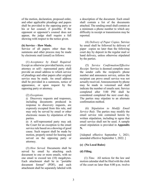of the motion, declaration, proposed order, and other applicable pleadings and papers shall be provided to the opposing party or his or her counsel, if possible. If the opponent or opponent's counsel does not appear, the judge shall require a full showing with respect to the notice given.

# **(b) Service – How Made.**

Service of all papers other than the summons and other process may be made by electronic mail (email) as follows:

(1) *Acceptance by Email Required.*  Except as otherwise provided herein, every attorney or self-- represented party shall provide an email address to which service of pleadings and other papers after original service may be made. An email address shall be provided in a summons, notice of appearance, or upon request by the opposing party or attorney.

(2) *Exceptions.*

(i) Discovery requests and responses, including documents produced in response to discovery requests, are expressly excepted from this rule, and may only be served by email or other electronic means by stipulation of the parties.

(ii) A self-represented party may ask the Court for an exception to the email service rule based on a showing of good cause. Such request shall be made by motion, properly noted for hearing and served on the opposing party or attorney.

(3) *How Served.* Documents shall be served by email by attaching each document to one or more emails, with no one email to exceed ten (10) megabytes. Each attachment shall be in "portable document format" (PDF), and each attachment shall be separately labeled with a description of the document. Each email shall contain a list of the documents attached. The sending email shall contain at a minimum a phone number to which any difficulty in receipt or transmission may be reported.

(4) *Delivery of Paper Copies.* Service by email shall be followed by delivery of paper copies no later than the following court day by deposit in the regular mail or hand delivery, unless otherwise stipulated by the parties.

(5) *Service Confirmation/Effective Receipt.* Service is deemed complete once the sender calls the recipient's phone number and announces service, unless the recipient can prove email service was not actually received. Announcement by phone may be made in voicemail and shall indicate the number of emails sent. Service completed after 5:00 PM shall be considered completed the next court day. The parties may stipulate to an alternate confirmation method.

(6) *Stipulation to Modify Email Service Rule.* The parties may modify the email service rule contained herein by written stipulation, including to agree that email service shall not be used. A sample email stipulation is provided in **Appendix N.**

[Adopted effective September 1, 2021; amended effective September 1, 2022. ]

# **(c) (No Local Rules)**

# **(d) Filing.**

(1) *Time.* All notices for the law and motion calendar shall be filed with the clerk of the court no later than 4:00 p.m. twelve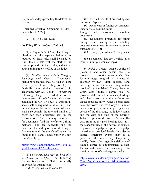(12) calendar days preceding the date of the hearing.

[Amended effective September 1, 2021; September 1, 2022.]

(2) - (3) (No Local Rules)

# **(e) Filing With the Court Defined.**

(1) *Filing with the Clerk.* The filing of pleadings and other papers with the court as required by these rules shall be made by filing the originals with the clerk of the court as provided in these rules, and not the court administrator's office or the judge.

(2) *E-Filing and Facsimile Filing of Pleadings with Clerk.* Documents, including pleadings, may be filed with the clerk by electronic filing (e-file) or facsimile transmission (telefax), in accordance with GR 17 and GR 30, with the following change: In addition to the requirements of a telefax transmittal sheet contained in GR 17(b)(2), a transmittal sheet shall be required for all e-filing, and the e-filing or facsimile transmittal sheet shall also contain the title and number of pages for each document sent in the transmission. The clerk may assess a fee for documents filed via telefax or e-filing methods. The fee schedule and the procedure for e-filing or facsimile filing of documents with the clerk's office can be found at the Island County Superior Court Clerk's webpage:

[https://www.islandcountywa.gov/Clerk/Pa](https://www.islandcountywa.gov/Clerk/Pages/Electronic-FAX-Filing.aspx) [ges/Electronic-FAX-Filing.aspx](https://www.islandcountywa.gov/Clerk/Pages/Electronic-FAX-Filing.aspx)

(3) *Documents That May not be E-filed or Filed by Telefax.* The following documents may not be filed electronically or by telefax transmission:

(A) Original wills and codicils;

(B) Certified records of proceedings for purposes of appeal;

(C) Documents of foreign governments under official seal including

foreign and out-of-state adoption documents;

(D) Documents presented for filing during a court hearing or trial including documents submitted for *in camera* review pursuant to GR 15;

(E) Foreign (out-of-state) Judgments; or

(F) Documents that are illegible as a result of multiple scans or copying.

(4) *Judge's Copies.* Judge's copies of pleadings and other papers shall be provided to the court administrator's office for the judge assigned to the case or calendar by U.S. Mail, courier, hand delivery, or via the e-fax filing system provided by the Island County Superior Court Clerk Judge's copies shall be provided at the same time as such pleadings and other papers are required to be served on the opposing party. Judge's copies shall have the words Judge's Copy" or similar designation placed in the upper right hand corner of the first page, the judge's name, and the date and time of the hearing. Judge's copies are discarded after ten (10) days from the assigned hearing date. It is the responsibility of the parties or counsel to provide new judge's copies to the judge thereafter as provided herein. In order to address emergent events such as a pandemic, the court may temporarily modify these rules regarding delivery of judge's copies as circumstances dictate. Parties and counsel are encouraged to monitor the court's webpage located at:

[https://www.islandcountywa.gov/Superior](https://www.islandcountywa.gov/SuperiorCourt/Pages/SuperiorCourtAdministration.aspx) [Court/Pages/SuperiorCourtAdministration.](https://www.islandcountywa.gov/SuperiorCourt/Pages/SuperiorCourtAdministration.aspx) [aspx.](https://www.islandcountywa.gov/SuperiorCourt/Pages/SuperiorCourtAdministration.aspx)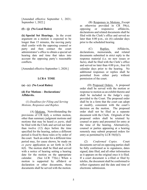[Amended effective September 1, 2021; September 1, 2022.]

# **(f) - (j) (No Local Rules)**

**(k) Special Set Hearings.** In the event argument on a motion is expected to be longer than 15 minutes, the moving party shall confer with the opposing counsel or party and then contact the court administrator's office to obtain a special set hearing date and time that takes into account the opposing party's reasonable conflicts.

[Amended effective September 1, 2020.]

# **LCR 6 TIME**

# **(a) - (c) (No Local Rules)**

#### **(d) For Motions – Declarations/ Affidavits.**

(1) *Deadlines for Filing and Serving Motions, Responses and Replies.* 

(A) Motions. Notwithstanding the provisions of CR 6(d), a written motion, other than summary judgment motions and motions that may be heard *ex parte*, shall be filed with the Clerk and served not later than twelve (12) days before the time specified for the hearing, unless a different period is fixed by these rules or by order of the court. Such an order for a different time period may, for cause shown, be made on *ex parte* application as set forth in LCR 6(f). The motion shall be filed and served with a notice of hearing setting a hearing date for the motion on the appropriate calendar. (See LCR  $77(k)$ .) When a motion is supported by affidavit or declaration or other documents, those documents shall be served with the motion.

(B) Responses to Motions. Except as otherwise provided in CR 59(c), opposing or responsive affidavits, declarations and related documents shall be filed with the Clerk's office and served no later than 4:00 p.m., six (6) calendar days prior to the scheduled hearing.

(C) Replies. Affidavits, declarations, memoranda, and related documents submitted in strict reply to the response material (i.e. no new issues or facts), shall be filed with the Clerk's office and served no later than 4:00 p.m., four (4) calendar days prior to the hearing. No additional responses or replies shall be permitted from either party without permission of the court.

(D) Proposed Orders. A proposed order shall be served with the motion or response to motion as an exhibit thereto and shall be included in the Judge's copy provided to the Court. The proposed order shall be in a form that the court can adopt or modify, consistent with the court's decision on the motion. The proposed order shall not be filed as a separate document with the Clerk. Originals of the proposed orders shall be retained by counsel or party and presented for entry at the time of the hearing. Alternatively, counsel or parties appearing at a hearing remotely may submit proposed orders for entry as permitted by LCR 54(f)(3).

(2) *Conformed Copies.* Court documents served on opposing parties shall be fully conformed as to signatures, dates signed, date filed, and all other information as it appears on the original once it is filed. If a court document is e-filed or filed by telefax, the document shall be conformed to reflect signatures and the date and time of electronic submission.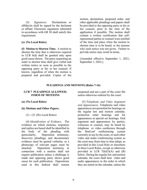(3) *Signatures.* Declarations or affidavits shall be signed by the declarant or affiant. Electronic signatures submitted in accordance with GR 30 shall satisfy this requirement.

#### **(e) (No Local Rules)**

**(f) Motion to Shorten Time.** A motion to shorten the time that is otherwise required in LCR 6(d) shall be granted only upon good cause shown. The party requesting an order to shorten time shall give verbal and written notice as soon as possible to the opposing party or his or her counsel, if known, regardless of when the motion is prepared and provided. Copies of the

motion, declaration, proposed order, and other applicable pleadings and papers shall be provided to the opposing party or his or her counsel, prior to the time of the application if possible. The motion shall contain a written certification that selfrepresented parties or counsel were notified of the time and place when the motion to shorten time is to be heard, or the reasons why such notice was not given. Failure to provide notice may result in terms.

[Amended effective September 1, 2021; September 1, 2022.]

#### **PLEADINGS AND MOTIONS (Rules 7-16)**

# **LCR 7 PLEADINGS ALLOWED; FORM OF MOTIONS**

**(a) (No Local Rules)**

#### **(b) Motions and Other Papers.**

(1) - (3) **(**No Local Rules)

(4) *Identification of Evidence.* The evidence on which motions, responses and replies are based shall be identified in the body of the pleading with particularity. Deposition testimony, discovery pleadings, and documentary evidence must be quoted verbatim, or a photocopy of relevant pages must be attached. Deposition testimony in connection with a motion shall not require publication unless a challenge is made and opposing party shows good cause for such publication. Depositions used in this fashion shall remain

unopened and not a part of the court file unless otherwise ordered by the court.

(5) *Telephonic and Video Argument and Appearances.* Telephonic and video appearances are permitted for hearings on the regular law and motion calendar, protection order hearings and for appearances at special set hearings. Oral argument and appearances by parties, witnesses or counsel, may be heard by telephone or video conference through the StarLeaf conferencing system currently in use by the court, or such other video and audio conferencing system as the court may from time to time adopt, as provided in this Local Rule or elsewhere in these Local Rules, except as otherwise provided in LCR  $7(b)(5)(A)$  and  $(B)$ below. During the regular law and motion calendar, the court shall hear video and audio appearances in the order in which they are noted on the calendar, unless the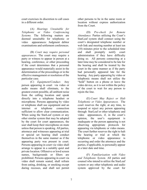court exercises its discretion to call cases in a different order.

(A) *Hearings Unsuitable for Telephonic or Video Conferencing Systems.* The following matters are deemed unsuitable for telephonic or video appearances: Judgment debtor examinations and settlement conferences.

(B) *Court may require personal appearances.* The court may require a party or witness to appear in person at a hearing, conference, or other proceeding if the court determines that a personal appearance would materially assist in the determination of the proceedings or in the effective management or resolution of the particular case.

(C) *Equipment/Conduct.* Any person appearing in court via video or audio means shall eliminate, to the greatest extent possible, all ambient noise from the calling location and speak directly into a telephone headset or microphone. Persons appearing by video or telephone shall use equipment and an internet or telephone connection sufficient to allow clear communication. When using the StarLeaf system or any other similar system that may be adopted by the court for court appearances, the user shall keep their microphone on mute unless that person is speaking. All parties, attorneys and witnesses appearing at trial or special set hearing shall conduct themselves in the same manner as if the appearing party was present in court. Persons appearing in court via video shall arrange to appear in a suitably quiet and private location. Offensive or lewd screen names, backgrounds or filters are prohibited. Persons appearing in court via video shall remain seated, shall refrain from eating, drinking, or smoking except during recesses, and shall not permit

other persons to be in the same room or location without express authorization from the Court.

(D) *Pre-check for Remote Attendance.* Parties utilizing the Court's StarLeaf system shall connect using the court's designated telephone number or web link and meeting number at least ten (10) minutes prior to the scheduled time and shall promptly notify court administration if they have difficulty doing so. All persons connecting at a later time may be considered to be late for the hearing and shall be treated by the court in the same manner as if the party had personally appeared late for the hearing. Any party appearing by video or telephonic means shall not utilize the "hold" button on a phone or leave the video device, as it is not within the policy of the court to wait for any person to rejoin the line.

(E) *Court May Reject or Halt Telephonic or Video Appearances.* The court reserves the right, at any time, to suspend or reject any person appearing through StarLeaf or other telephonic and video appearances, if, in the court's opinion, the user's equipment is inadequate or the person appearing is not observing appropriate protocols for appearing via telephonic or video means. The court further reserves the right to halt the hearing or trial at which the telephonic or video appearance is occurring and order the attorneys and the parties, if applicable, to personally appear at a later date and time.

(F) *Familiarization with Video and Telephonic System.* All parties and counsel who intend to utilize the StarLeaf system or any other telephonic and audio system approved by the court for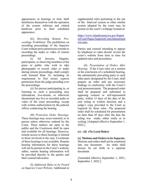appearances at hearings or trial, shall familiarize themselves with the operation of the system software and related hardware prior to their scheduled appearance.

(G) *Recording Remote Proceedings Prohibited.* The prohibition on recording proceedings of the Superior Court without prior permission extends to recording the audio or video of remote proceedings.

(i) All lawyers, litigants, participants, or observing members of the press or public who wish to take photographs or record video or audio during remote proceedings, shall comply with General Rule 16, including its requirement to first secure express permission from the judge presiding over the proceedings.

(ii) No person participating in, or listening to, such a proceeding may rebroadcast, live-stream, or otherwise disseminate any live or recorded audio or video of the court proceeding, except with written authorization by the judicial officer conducting the hearing.

(H) *Protection Order Hearings.* These hearings may occur remotely or in person unless otherwise ordered by the Court. These matters are open to the public and the Courtroom shall be open and available for all hearings. However, remote access to these hearings is limited to those involved in the case. Livestream of these hearings is not available. Remote hearing information for these hearings will not be posted on the Court's website; rather, remote hearing information will be provided directly to the parties and their counsel/advocates.

(I) *Additional Rules to be Posted on Superior Court Website.* Additional or

supplemental rules pertaining to the use of the StarLeaf system or other similar system adopted by the court may be posted on the court's webpage located at:

# [https://www.islandcountywa.gov/Superi](https://www.islandcountywa.gov/SuperiorCourt/Pages/SuperiorCourtAdministration.aspx) [orCourt/Pages/SuperiorCourtAdministrat](https://www.islandcountywa.gov/SuperiorCourt/Pages/SuperiorCourtAdministration.aspx) [ion.aspx.](https://www.islandcountywa.gov/SuperiorCourt/Pages/SuperiorCourtAdministration.aspx)

Parties and counsel intending to appear by telephone or video should review the court's website from time to time for updated rules and procedures.

(6). *Presentation of Orders After Hearing.* If the Court rules on a motion at the conclusion of a scheduled hearing, the substantially prevailing party or such other party designated by the Court, shall prepare an order and any necessary findings in conformity with the Court's oral pronouncement. The proposed order shall be prepared and submitted to opposing counsel or self-represented party, within 15 days of the date of the oral ruling or written decision and a judge's copy provided to the Court as required by these rules. The proposed order shall be scheduled for presentation no later than 45 days after the date the ruling was made, either orally or in writing. [Adopted effective September 1, 2022.]

# **(c) - (d) (No Local Rules)**

**(e) Motions and Orders to be Separate.**  Motions and orders shall not be combined into one document. An order shall always be set forth in a separate document.

[Amended effective September 1, 2021; September 1, 2022.]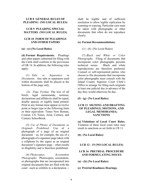#### **LCR 8 GENERAL RULES OF PLEADING (NO LOCAL RULES***)*

#### **LCR 9 PLEADING SPECIAL MATTERS (NO LOCAL RULES)**

#### **LCR 10 FORM OF PLEADINGS AND OTHER PAPERS**

#### **(a) - (c) (No Local Rules)**

**(d) Format Requirements.** Pleadings and other papers submitted for filing with the Clerk shall conform to the provisions of GR 14. In addition, the following rules apply:

(1) *Tabs or Separators in Documents.* Any tabs or separators used within documents shall be placed at the bottom of the page only.

(2) *Page Format.* The text of all briefs, legal memoranda, motions, declarations and affidavits shall be typed, double spaced, or legibly hand printed. Print in any format must appear as twelve point or larger type in the following fonts or their equivalent: Times New Roman, Courier, CG Times, Arial, Century, and Century Schoolbook.

(3) *Use of Photos of Documents as Originals Prohibited.* Use of a photograph of a page of an original document – as, for example, the use of a photograph of a signature page taken with a cellphone by the signer as an original document's signature page – often results in illegibility and is therefore prohibited.

(4) *Photocopies, Screenshots Photographs.* Photocopies, screenshots, or photographs that are incorporated into original documents that are filed with the court –such as exhibits to a declaration --

shall be legible and of sufficient resolution to allow legible replication by scanning or copying. Particular care must be taken with photographs or other documents that often do not reproduce clearly.

#### **(e) Format Recommendations.**

#### (1) - (6) (No Local Rules)

(7) *Black and White or Color Photographs.* Filing of documents that incorporate color photographs presents technical issues. Black and white reproductions are therefore preferred. Counsel or self-represented parties who choose to file documents that incorporate color photographs must consult with the Island County Superior Court Clerk's Office to arrange for filing such originals at least one judicial day in advance of the day they would otherwise be due.

**(f) - (g) (No Local Rules)**

#### **LCR 11 SIGNING AND DRAFTING OF PLEADINGS, MOTIONS, AND LEGAL MEMORANDA; SANCTIONS**

**(a) Violations of Local Court Rules.**  Violation of these local court rules may result in sanctions as set forth in CR 11.

**(b) (No Local Rules)**

#### **LCR 12 - 15 (NO LOCAL RULES)**

# **LCR 16 PRETRIAL PROCEDURE AND FORMULATING ISSUES**

**(a) - (b) (No Local Rules)**

**(c) Pretrial Readiness Hearings.**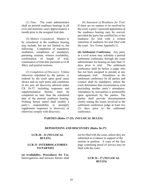(1) *Time.* The court administrator shall set pretrial readiness hearings in all civil and domestic cases approximately a month prior to the assigned trial date.

(2) *Matters Considered.* Matters to be considered at the readiness hearing may include, but are not limited to, the following: Completion of mandatory mediation, completion of mandatory parenting seminar, witness availability, confirmation of length of trial, continuance of trial date pursuant to LCR 40(e), and pretrial motions.

(3) *Completion of Discovery.* Unless otherwise stipulated by the parties, or ordered by the court upon good cause shown and on such terms and conditions as are just, all discovery allowed under CR 26-37, including responses and supplementation thereto, must be completed no later than the scheduled date of the pretrial readiness hearing. Nothing herein stated shall modify a party's responsibility to promptly supplement responses to discovery or otherwise comply with discovery.

(4) *Statement of Readiness for Trial.* If there are no matters to be resolved by the court, a party's personal appearance at the readiness hearing may be waived, provided the party has certified his or her readiness for trial with a written statement of readiness for trial filed with the court. *See,* Forms Appendix G.

**(d) Settlement Conference**. Any party in a civil action may schedule a pretrial settlement conference through the court administrator for hearing no later than 21 days prior to trial. The settlement conference shall be before a judge who has not been assigned to preside at any subsequent trial. Attendance at the settlement conference by all parties and counsel shall be mandatory, unless the court determines that circumstances exist precluding another party's attendance. Attendance by non-parties is permissible upon agreement by the parties. The parties shall provide documentation clearly stating the issues involved to the settlement conference judge at least two (2) days prior to the settlement conference.

#### **PARTIES (Rules 17-25) (NO LOCAL RULES)**

#### **DEPOSITIONS AND DISCOVERY (Rules 26-37)**

#### **LCR 26 - 32 (NO LOCAL RULES)**

#### **LCR 33 INTERROGATORIES TO PARTIES**

**(a) Availability; Procedures for Use.**  Interrogatories and answers thereto shall

not be filed with the court, unless they are submitted as evidence in support of the motion or petition. A copy of the face page containing proof of service may be filed with the court.

#### **LCR 34 - 37 (NO LOCAL RULES)**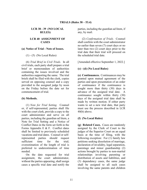#### **LCR 38 - 39 (NO LOCAL RULES)**

#### **LCR 40 ASSIGNMENT OF CASES**

#### **(a) Notice of Trial - Note of Issues.**

# (1) - (5) (No Local Rules)

(6) *Trial Brief in Civil Trials.* In all civil trials, each party shall prepare a trial brief or memorandum of authorities containing the issues involved and the authorities supporting the same. The trial briefs shall be filed with the clerk, copies served on opposing counsel and a copy provided to the assigned judge by noon on the Friday before the date set for commencement of trial.

#### **(b) Methods.**

(1) *Note for Trial Setting.* Counsel or, if self-represented, parties shall file with the court clerk, provide a copy to the court administrator and serve on all parties, including the guardian ad litem, a Note for Trial Setting and a Notice of Conflict Dates in the form set forth in the Forms Appendix E & F. Conflict dates shall be limited to previously scheduled vacations and trial dates. Counsel or selfrepresented parties should request sufficient time for the trial; overestimation of the length of trial is preferred to underestimation of time needed.

On the date requested for trial assignment, the court administrator, without the parties appearing, shall assign cases a specific trial date and notify the

parties, including the guardian ad litem, if any, by mail.

(2) *Confirmation of Trials.* Counsel shall confirm with the court administrator no earlier than seven (7) court days or no later than two (2) court days prior to the trial date that their trial will proceed on the scheduled trial date.

[Amended effective September 1, 2022.]

# **(c) - (d) (No Local Rules)**

**(e) Continuances.** Continuances may be granted upon mutual agreement of the parties and upon presentation of an order of continuance if the continuance is sought more than thirty (30) days in advance of the assigned trial date. A continuance sought within thirty (30) days of the assigned trial date shall be made by written motion. If either party wants to set a new trial date, that party must use the process described in LCR 40(b) above.

# **(f) (No Local Rules)**

**(g) Related Cases.** Cases are randomly assigned by the Clerk of Court to the judges of the Superior Court on an equal basis at the time of filing, with the following exception: For (1) family law petitions seeking dissolution of marriage, declaration of invalidity, legal separation, parentage and minor guardianship (2) actions brought by parties to non-marital relationships involving parenting or distribution of assets and liabilities, and (3) dependency cases, the same judge shall be assigned to all such cases involving the same parents and children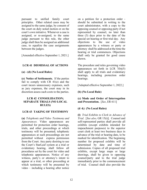pursuant to unified family court principles. Other related cases may be assigned to the same judge, by consent of the court on duly noted motion or on the court's own initiative. Whenever a case is assigned, or re-assigned, to the same judge pursuant to this rule, the other judge shall then be assigned an additional case, to equalize the case assignments between the judges.

[Amended effective September 1, 2021.]

# **LCR 41 DISMISSAL OF ACTIONS**

# **(a) - (d) (No Local Rules)**

**(e) Notice of Settlements.** If the parties fail to comply with  $CR$  41 $(e)$  and the court incurs unnecessary expenses, such as jury expenses, the court may in its discretion assess such costs to the parties.

# **LCR 42 CONSOLIDATION; SEPARATE TRIALS (NO LOCAL RULES)**

# **LCR 43 TAKING OF TESTIMONY**

**(a)** *Telephonic and Video Testimony and Appearances.* Video appearances are permitted for protection order hearings, trials, and other proceedings at which testimony will be presented; telephonic appearances at such proceedings are not permitted without express permission from the Court. Any party desiring to use the Court's StarLeaf system at a trial or evidentiary hearing, shall follow all procedures set by the court for video and telephonic appearances. Notice of any witness, party's or attorney's intent to appear at a trial, or other proceeding at which testimony will be presented by video – including a hearing after notice

on a petition for a protection order should be submitted in writing to the court administrator, with a copy to the opposing counsel or opposing party if not represented by counsel, no later than three (3) days prior to the date of the special set hearing or first trial day. Any objections to the use of video appearances by a witness or party or attorney shall be addressed at the time the hearing or trial commences. Objections shall only be granted for good cause shown.

The procedure and rules governing video appearances set forth in LCR 7(b)(5) shall apply to all trials and evidentiary hearings, including protection order hearings.

[Adopted effective September 1, 2022.]

# **(b) (No Local Rule)**

# **(c) Mode and Order of Interrogation and Presentation.** [*See*, ER 611]

# **(d -k) (No Local Rules)**

**(l)** *Trial Exhibits to Clerk in Advance of Trial.* [*See also,* GR 15(i)]. Counsel and self-represented parties shall provide all exhibits (except exhibits intended for impeachment purposes) to the superior court clerk at least two business days in advance of the trial or hearing date, to be marked for identification. The beginning number for proposed exhibits will be determined by date and time of submission. Copies of all proposed trial exhibits, except large maps or large drawings, shall be given to opposing counsel/party and to the trial judge immediately prior to the commencement of trial. Counsel shall also provide the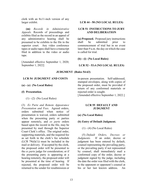clerk with an 8x11-inch version of any larger exhibit.

**(m)** *Records in Administrative Appeals.* Records of proceedings and exhibits filed as the record in an appeal of any administrative hearing shall be presumed to be exhibits to the file in the superior court. Any video conference tapes or audio tapes shall have a transcript filed in addition to the video or audio tape.

[Amended effective September 1, 2020; September 1, 2022]

#### **LCR 44 - 50 (NO LOCAL RULES)**

#### **LCR 51 INSTRUCTIONS TO JURY AND DELIBERATION**

**(a) Proposed.** Proposed jury instructions shall be submitted prior to commencement of trial but in no event later than 9 a.m. the day on which the case is called for trial.

**(b) - (i) (No Local Rules)**

# **LCR 52 - 53.4 (NO LOCAL RULES)**

#### **JUDGMENT (Rules 54-63)**

# **LCR 54 JUDGMENT AND COSTS**

# **(a) - (e) (No Local Rules)**

# **(f) Presentation.**

# (1) - (2) (No Local Rules)

(3) *Ex Parte and Remote Appearance Presentation and Fees.* Agreed orders, orders submitted when notice of presentation is waived, orders submitted when the presenting party or parties appear remotely, and *ex parte* orders based upon the record in the file, may be presented by mail through the Superior Court Clerk's office. The original order, supporting materials, and the required fee as set forth in the clerk's fee schedule  $(LCR 79(d)(1))$  must be included in the mail or delivery. If accepted by the clerk, the proposed order will be presented to the *ex parte* judge for consideration; or if the presenting party is appearing at a hearing remotely, the proposed order will be presented at the time of hearing. If rejected, the proposed order will be returned to the sender for resubmission or

in-person presentation. Self-addressed, stamped envelopes, along with copies of the proposed order, must be provided if return of any conformed materials or rejected order is sought.

[Amended effective September 1, 2022.]

# **LCR 55 DEFAULT AND JUDGMENT**

# **(a) (No Local Rules)**

#### **(b) Entry of Default Judgment.**

(1) - (4) (No Local Rules)

(5) *Default Orders, Decrees or Judgments.* If an order, decree or judgment has been entered by default, counsel representing the prevailing party, or the prevailing party if not represented by counsel, shall immediately mail a conformed copy of the order, decree or judgment signed by the judge, including the date the order was filed with the clerk, to the opponent or opponent's counsel at his or her last known address. An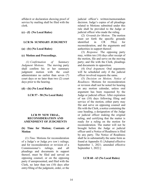affidavit or declaration showing proof of service by mailing shall be filed with the clerk.

**(c) - (f) (No Local Rules)**

# **LCR 56 SUMMARY JUDGMENT**

# **(a) - (b) (No Local Rules)**

# **(c) Motion and Proceedings.**

*(1) Confirmation of Summary Judgment Motions.* The moving party shall confirm his or her summary judgment motion with the court administrator no earlier than seven (7) court days or no later than two (2) court days prior to the hearing.

# **(d) - (h) (No Local Rules)**

# **LCR 57 - 58 (No Local Rule)**

#### **LCR 59 NEW TRIAL, RECONSIDERATION AND AMENDMENT OF JUDGMENTS**

#### **(b) Time for Motion; Contents of Motion**

 (1) *Time.* Motions for reconsideration of a Judge's or Judge *pro tem's* rulings; and for reconsideration or revision of a Commissioner's rulings, and all pleadings and documents in support thereof, must be filed and served on opposing counsel, or on the opposing party if unrepresented, and filed with the Clerk, no later than ten (10) days after entry/filing of the judgment, order, or the

judicial officer's written/memorandum decision. Judge's copies of all pleadings related to Motions submitted under this rule shall be provided to the Judge or judicial officer who made the ruling.

 (2) *Grounds for Motion.* The motion must set forth the specific grounds identified in CR 59(a) for reconsideration, and the arguments and authorities in support thereof.

 (3) *Response.* The opposing party may, within ten (10) days after receipt of the motion, file and serve on the moving party; and file with the Clerk, pleadings and documents in opposition.

 (4) *Oral Argument.* Oral arguments will be scheduled only if the judicial officer involved requests the same.

 (5) *Decision on Motion; Notice of Readiness.* Motions for reconsideration or revision shall not be noted for hearing on any motion calendar, unless oral argument has been requested by the Judge or judicial officer. After expiration of ten (10) days following filing and service of the motion, either party may file and serve on opposing counsel and file with the Clerk, a notice containing the case heading, a designation of the Judge or judicial officer making the original ruling, and certifying that the matter is ready for a ruling on the motion for reconsideration. The matter will not be brought before the Judge or judicial officer until a Notice of Readiness is filed by any party. The Notice of Readiness shall be in substantially the same form as found at Appendix O. [Adopted effective September 1, 2021; amended effective September 1, 2022.]

# **LCR 60 - 63 (No Local Rules)**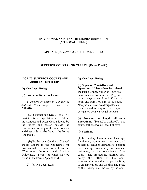# **PROVISIONAL AND FINAL REMEDIES (Rules 64 – 71) (NO LOCAL RULES)**

#### **APPEALS (Rules 72-76) (NO LOCAL RULES)**

#### **SUPERIOR COURTS AND CLERKS (Rules 77 – 80)**

#### **LCR 77 SUPERIOR COURTS AND JUDICIAL OFFICERS.**

**(a) (No Local Rules)**

#### **(b) Powers of Superior Courts.**

(1) *Powers of Court in Conduct of Judicial Proceedings.* [See RCW 2.28.010.]

(A) Conduct and Dress Code. All participants and spectators shall follow the Conduct and Dress Code adopted by the judges and posted outside the courtrooms. A copy of the local conduct and dress code may be found in the Forms Appendix L.

(B) Professional Conduct. Counsel should adhere to the Guidelines for Professional Courtesy, as well as the "Courtroom Decorum and Practice Guidelines," a copy of which may be found in the Forms Appendix M.

 $(2) - (3)$  No Local Rules

**(c) (No Local Rules)**

#### **(d) Superior Court-Hours of**

**Operation.** Unless otherwise ordered, the Island County Superior Court shall be open, as set forth in CR 77(d), on judicial days at least from 8:30 a.m. to noon, and from 1:00 p.m. to 4:30 p.m. Non-judicial days are designated as Saturday and Sunday and those days designated by law as legal holidays.

**(e) No Court on Legal Holidays – Exceptions.** [See RCW 2.28.100]. The court shall observe all legal holidays.

#### **(f) Sessions.**

(1) Involuntary Commitment Hearings. Involuntary commitment hearings shall be held as occasion demands to expedite the hearing, availability of medical testimony, and the convenience of the court. The prosecuting attorney shall notify the office of the court administrator immediately upon the filing of an application, and the time and place of the hearing shall be set by the court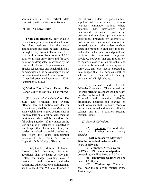administrator at the earliest date compatible with the foregoing factors.

# **(g) - (i) (No Local Rules)**

**(j) Trials and Hearings.** Jury trials in Island County Superior Court shall be on the date assigned by the court administrator and shall be held Tuesday through Friday, from 9:30 a.m. until 4:15 p.m., with a break from noon until 1:30 p.m., or at such other times and for such duration as designated in advance by the court as the docket of cases warrants.

Special set hearings and bench trials shall be scheduled on the dates assigned by the Superior Court, Court Administrator. [Amended effective September 1, 2021; September 1, 2022.]

**(k) Motion Day - Local Rules.** The Island County docket shall be as follows:

(1) *Law and Motion Calendars.* The civil, adult criminal, and juvenile offender law and motion calendar for Island County shall be held on Monday of each week in the assigned departments. If Monday falls on a legal holiday, then the motion calendar shall be heard on the following Tuesday. If any matter on the law and motion calendar is expected to last longer than 15 minutes total, the parties must obtain a specially set hearing date from the court administrator pursuant to  $LCR$  5(k). See Forms Appendix D for Notice of Hearing.

(A) Civil Motion Calendar. Closed civil hearings, including adoptions, shall be heard at 9:00 a.m. Unless the judge presiding over a particular civil motions calendar determines otherwise, open civil hearings shall be heard from 9:30 a.m. to noon in

the following order: Ex parte matters; supplemental proceedings; readiness hearings; parentage motions where paternity has previously been determined; uncontested matters in probates and guardianships; uncontested dissolutions presented by attorney; all orders to show cause and motions in domestic actions; other orders to show cause and motions in civil case; motions; and orders subsequent to judgment and motions for summary judgment. Provided, however, that any motion, or, as regards a case in which more than one motion has been noted for hearing on the same day, any case that is expected to take longer than 15 minutes shall be scheduled as a "special set" hearing, pursuant to LCR 5(k) above.

(B) Criminal and Juvenile Offender Calendars. The criminal and juvenile offender calendars shall be heard on Monday from 1:30 p.m. to 4:15 p.m. Criminal and juvenile offender preliminary hearings and hearings on bench warrants shall be heard Monday during the criminal and juvenile offender calendar and at 1:15 p.m. on Tuesday through Friday.

(2) *Special Calendars*.

(A) **Tuesday.** The court shall hear the following matters every *Tuesday*:

i. **Self-represented Marriage Dissolutions (final orders)** shall be heard at 8:30 a.m.

ii. **Parentage, At-risk youth (ARY), CHINS, and emancipation**  proceedings shall be heard at 9:30 a.m.

iii. **Truancy proceedings** shall be heard at 3:00 p.m.

(B) **Wednesdays.** The court shall hear the following matters every *Wednesday*: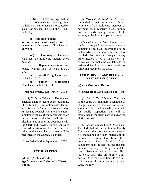i. **Shelter Care** hearings shall be held at 10:30 a.m. (If such hearings must be held on a day other than Wednesday, such hearings shall be held at 8:30 a.m. on Friday.)

# ii. **Domestic violence, antiharassment, and sexual assault protection order cases** shall be heard at 2:00 p.m.

(C) **Thursdays.** The court shall hear the following matters every *Thursday*:

i. **Dependency** petitions and related hearings shall be heard at 9:30 a.m.

ii. **Adult Drug Court** shall be held at 10:30 a.m.

iii. **Family Reunification Court** shall be held at 2:30 p.m.

[Amended effective September 1, 2022.]

(3) *Ex Parte Calendar.* The e*x parte* calendar shall be heard at the beginning of the Monday civil motion calendar and at 1:00 p.m. on Tuesday through Friday. Parties and counsel who intend to submit a matter to the court for consideration on the *ex parte* calendar shall file all pleadings and supporting documents with the Clerk and provide judge's copies to court administration at least one court day prior to the date that a matter will be presented on the *ex parte* calendar.

[Amended effective September 1, 2022.]

# **LCR 78 CLERKS**

**(a) - (f) (No Local Rules) (g) Payment and Disbursal of Trust Funds.**

 (1*) Payment of Trust Funds*. Trust funds shall be paid to the clerk of court with one of the following methods of payment: cash, cashier's check, money order, certified check, government check, attorney's check, or company's check.

(2) *Disbursal of Trust Funds.* Trust funds that are paid by attorney's check or company's check will be available to be disbursed eight court days after receipt by the clerk. Trust funds that are paid by any other method listed in subsection (1) above will normally be available to be disbursed the first or second court day following receipt by the clerk.

# **LCR 79 BOOKS AND RECORDS KEPT BY THE CLERK**

# **(a) - (c) (No Local Rules)**

# **(d) Other Books and Records of Clerk.**

(1) *Clerk's Fee Schedule.* The clerk of the court will maintain a schedule of charges authorized by law for clerk's services. The schedule shall be available for public inspection and will be maintained in the clerk's office and on the clerk's website.

(2) *Filing Family Court Documents.*  The clerk shall file the petition for Family Court and other documents in a special file maintained for such matters, if no dissolution action has been filed previously. Such Family Court documents may be kept in one file and numbered serially. If the petition states that a dissolution action has been filed, the clerk shall file all Family Court documents in the dissolution file as a part of that cause of action, bearing the same cause number.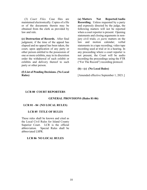(3) *Court Files.* Case files are maintained electronically. Copies of a file or of the documents therein may be obtained from the clerk as provided by law and rule.

**(e) Destruction of Records.** After final judgment, if the time of the appeal has elapsed and no appeal has been taken, the court, upon application of any party or other person entitled to the possession of one or more exhibits, may in its discretion order the withdrawal of such exhibit or exhibits and delivery thereof to such party or other person.

**(f) List of Pending Decisions. (No Local Rules)**

**(a) Matters Not Reported/Audio Recording.** Unless requested by a party and expressly directed by the judge, the following matters will not be reported when a court reporter is present: Opening statements and closing arguments in nonjury civil trials; *ex parte* matters on the law and motion calendar; verbal statements in a tape recording; video tape recording used at trial or in a hearing. In any proceeding where a court reporter is not present, the Court will be audio recording the proceedings using the FTR ("For The Record") recording protocol.

#### **(b) - (c) (No Local Rules)**

[Amended effective September 1, 2021.]

#### **LCR 80 COURT REPORTERS**

#### **GENERAL PROVISIONS (Rules 81-86)**

#### **LCR 81 - 84 (NO LOCAL RULES)**

#### **LCR 85 TITLE OF RULES**

These rules shall be known and cited as the Local Civil Rules for Island County Superior Court. LCR is the official abbreviation. Special Rules shall be abbreviated LSPR.

#### **LCR 86 NO LOCAL RULES**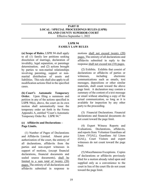#### **PART II LOCAL / SPECIAL PROCEEDINGS RULES (LSPR) ISLAND COUNTY SUPERIOR COURT** Effective September 1, 2022

# **LSPR 94 FAMILY LAW RULES**

**(a) Scope of Rules.** LSPR 94 shall apply to all (1) family law petitions seeking dissolution of marriage, declaration of invalidity, legal separation, or parentage determination; and (2) actions brought by parties to non-marital relationships involving parenting, support or nonmarital distribution of assets and liabilities. This rule shall also apply to all modification actions filed in the specified cases.

**(b) Court's Automatic Temporary Order.** Upon filing a summons and petition in any of the actions specified in LSPR 94(a), above, the court on its own motion shall automatically issue the temporary order set forth in the Forms Appendix A, entitled "Court's Automatic Temporary Order Re: LSPR 94."

# **(c) Affidavits and Declarations – Page Limits.**

(1) Number of Pages of Declarations and Affidavits Limited.Absent prior authorization of the court, the entirety of all declarations, affidavits from the parties and non-expert witnesses in support of motions, (except financial declarations, financial documents and sealed source documents), shall be limited to a sum total of twenty (20) pages. The entirety of all declarations and affidavits submitted in response to

motions shall not exceed twenty (20) pages. The entirety of all declarations and affidavits submitted in reply to the response shall not exceed ten (10) pages.

 (2) Exhibits. Exhibits that consist of declarations or affidavits of parties or witnesses, including electronic communications such as emails, text messages, depositions or other similar materials, shall count toward the above page limit. A declaration may contain a summary of the content of a text message or email without attaching a copy of the actual communication, so long as it is available for inspection by any other party to the proceeding.

 (3) Financial Declarations. Financial declarations and financial documents do not count toward the page limit.

 (4) Expert Witness Reports and Evaluations. Declarations, affidavits, and reports from Volunteer Guardians ad Litem (VGAL), Guardians Ad Litem (GAL), Court Visitors and expert witnesses do not count toward the page limit.

 (5) Miscellaneous Exceptions. Copies of declarations or affidavits previously filed for a motion already ruled upon and supplied only as a convenience to the court in lieu of the court file do not count toward the page limit.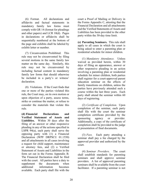(6) Format.All declarations and affidavits and factual statements in mandatory family law forms must comply with GR 14 (format for pleadings and other papers) and LCR 10(d). Pages in declarations or affidavits shall be sequentially numbered at the bottom of the page and exhibits shall be labeled by exhibit letter or number.

 (7) Circumvention Prohibited. This rule may not be circumvented by filing several motions in the same family law matter on the same day. Similarly, this rule may not be circumvented by including factual content in mandatory family law forms that should otherwise be included in a party's or witness' declaration.

 (8) Violations.If the Court finds that one or more of the parties violated this rule, the Court may, on its own motion or upon objection of a party, assess terms, strike or continue the matter, or refuse to consider the materials that violate this rule.

**(d) Financial Declarations and Verified Statement of Assets and Liabilities.** Within 30 days after the filing of an answer or other responsive pleading in any of the actions specified in LSPR 94(a), each party shall serve the opposing party with (1) a Financial Declaration (WPF DRPSCU 01.1550) and all attachments in all cases involving a request for child support, maintenance or attorney fees, and (2) a Verified Statement of Assets and Liabilities in the form set out in the Forms Appendix B. The Financial Declaration shall be filed with the court. All parties have a duty to supplement the documents when additional information becomes available. Each party shall file with the

court a Proof of Mailing or Delivery in the Forms Appendix C, attesting that the Financial Declaration and all attachments and the Verified Statements of Assets and Liabilities has been provided to the other party within the 30-day time limit.

**(e) Parenting Seminars.** This rule shall apply to all cases in which the court is being asked to enter a parenting plan or residential schedule for minor children.

(1) *Mandatory Attendance.* Unless waived as provided herein, within 30 days of filing an appearance, answer or other responsive pleading in an action involving a parenting plan or residential schedule for minor children, both parties shall register for a court-approved parent education seminar on the effects of family transitions on children, unless the parties have previously attended such a course within the last three years. Each party shall attend the seminar within 60 days of registering.

(2) *Certificate of Completion.* Upon completion of the seminar, each party shall file with the court the seminar completion certificate provided by the sponsoring agency or provider. Additionally, a copy of the certificate of completion shall be provided to the judge at presentation of final documents.

(3) *Fees.* Each party attending a seminar shall pay a fee charged by the approved provider and authorized by the court.

(4) *Seminar Providers.* The court shall establish standards for parenting seminars and shall approve seminar providers. A list of approved parenting seminars shall be available from the court facilitator. If a parenting seminar is not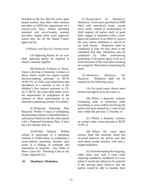included on the list, then the court, upon proper motion, may allow other seminar providers to fulfill this requirement on a case-by-case basis. Online parenting seminars and out-of-county seminar providers require prior court approval, unless they are on the Island County approved list.

# (5)*Waiver and Special Consideration*

(A) Opposing Parties. In no case shall opposing parties be required to attend a seminar together.

(B) Domestic Violence or Abuse. Upon a showing of domestic violence or abuse which would not require mutual decision-making pursuant to RCW 26.09.191, or if the court determines that attendance at a seminar is not in the children's best interest pursuant to Ch. 26.12 RCW, the court shall either waive the requirement of completion of the seminar or allow participation in an alternative parenting seminar if available.

(C) Proposed Parenting Plan Required. Within 14 days of completing the parenting seminar as described above, each parent shall provide the other parent with a Proposed Parenting Plan, if they have not already done so.

(D)Willful Refusal. Willful refusal to participate in a parenting seminar or willful delay in completing a court-ordered parenting seminar may result in a finding of contempt and imposition of sanctions. (*See* Order to Show Cause Re: Parenting Class in the Forms Appendix H.)

# **(f) Mandatory Mediation.**

(1) *Requirement for Mandatory Mediation.* In all cases specified in LSPR 94(a) with unresolved issues, except cases solely related to modification of child support, all parties shall, in good faith, engage in mediation with a courtapproved mediator in an effort to resolve the case, unless mediation is waived as set forth herein. Mediation shall be completed at least 60 days prior to the scheduled trial date. Mediation may be conducted by video conferencing technology if all parties agree to do so or at the direction of the court after a hearing on a properly filed motion requesting the same.

(2) *Mandatory Mediation Not Required.* Mediation shall not be required in the following cases:

(A) For good cause shown upon motion and approval by the court; or

(B) Where a domestic violence restraining order or protection order (excluding *ex parte* orders) involving the parties has been entered by a court at any time within the previous 12 months; or

(C) Where a domestic violence no contact order exists pursuant to RCW 10.99; or

(D) Where the court upon motion finds that domestic abuse has occurred between the parties and that such abuse would interfere with arm'slength mediation.

(E) Notwithstanding the forgoing, either party may seek a court order requiring mandatory mediation in a case where it would not otherwise be required if the moving party believes that the parties would be able to mediate their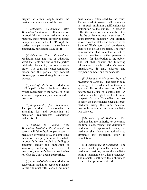dispute at arm's length under the particular circumstances of the case.

(3) *Settlement Conference after Mandatory Mediation.* If, after mediation in good faith or where mediation is not required, there remain unresolved issues in any case specified in LSPR 94(a), the parties may participate in a settlement conference, pursuant to LCR 16(d).

(4) *Effect on Court Proceedings.*  Mediation does not stay or otherwise affect the rights and duties of the parties established by statute, court rule, or court order. The court may enter temporary orders and the parties may conduct discovery prior to or during the mediation process.

(5) *Cost of Mediation.* Mediators shall be paid by the parties in accordance with the agreement of the parties, or in the absence of agreement, as determined in mediation.

(6) *Responsibility for Compliance.*  The parties shall be responsible for arranging for and completing all mediation requirements established under this rule.

(7) *Failure to Comply With Mandatory Mediation Requirement.* A party's willful refusal to participate in mediation or willful delay in completing mediation, or a party's failure to mediate in good faith, may result in a finding of contempt and/or the imposition of sanctions, including the costs of mediation, attorney's fees and such other relief as the Court deems appropriate.

(8) *Approval of Mediators.* Mediators performing mediation services pursuant to this rule must fulfill certain minimum

qualifications established by the court. The court administrator shall maintain a list of such minimum qualifications for distribution to the public. In order to fulfill the mediation requirements of this rule, the parties must use the services of a court-approved mediator. An attorney who is on active status and licensed in the State of Washington shall be deemed qualified to act as a mediator. The court administrator shall maintain a list of approved mediators, either persons or agencies, for distribution to the public. The list shall contain the following information: each mediator's name, organization, if any, address and telephone number, and fee schedule.

(9) *Selection of Mediator; Right of Mediator to Decline.* The parties may either agree to a mediator from the courtapproved list or the mediator will be determined by use of a strike list. A mediator has the right to decline to serve in a particular case. If a mediator declines to serve, the parties shall select a different mediator, using the same selection process by which the preceding mediator was selected.

(10) *Authority of Mediator.* The mediator has the authority to determine the time, place, manner, and duration of mediation. In appropriate cases, the In appropriate cases, the mediator shall have the authority to terminate the mediation prior to completion.

(11) *Attendance at Mediation.* The parties shall personally attend all mediation sessions, unless the mediator permits telephonic or other attendance. The mediator shall have the authority to require other persons to attend.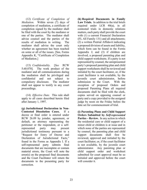(12) *Certificate of Completion of Mediation.* Within seven (7) days of completion of mediation, a certificate of completion signed by the mediator shall be filed with the court by the mediator or one of the parties. The mediator shall advise counsel and the parties of the results of mediation in writing. The mediator shall advise the court only whether an agreement has been reached on some or all of the issues. [See, Forms Appendix K, "Certificate of Completion of Mediation.]

(13) *Confidentiality.* [*See* RCW 5.60.070]. The work product of the mediator and all communications during the mediation shall be privileged and confidential and not subject to compulsory disclosure. The mediator shall not appear to testify in any court proceedings.

(14) *Effective Date.* This rule shall apply to all cases described herein filed after January 1, 1997.

**(g) Jurisdictional Declaration in Non-Contested Dissolution Cases.** If a decree or final order is entered under RCW 26.09 by joinder, agreement, or default, an attorney representing the petitioner or the respondent, or a selfrepresented party may present jurisdictional testimony pursuant to a "Request for Entry of Decree and Declaration of Jurisdictional Facts," found in the Forms as Appendix I. If a self-represented party submits final documents that are incomplete or contain material errors, the Court will note the error(s) on the proposed final documents and the Court Facilitator will return the documents to the presenting party for correction.

**(h) Required Documents in Family Law Trials.** In addition to the trial briefs required under LCR 40(a), in all contested trials in domestic relations matters, each party shall provide the court with (1) a current Financial Declaration (FL All Family 131) and all attachments; (2) a written Pretrial Affidavit indicating a proposed division of assets and liability, which form can be found in the Forms Appendix J; and (3) if children are involved, a proposed parenting plan and child support worksheets. If a party is not represented by counsel, the unrepresented party's proposed parenting plan and child support worksheets shall be reviewed and initialed by the court facilitator, or, if the court facilitator is not available, by the juvenile court administrator, before submission to the Court. With the exception of proposed Orders and proposed Parenting Plans all required documents shall be filed with the clerk, copies served on opposing counsel or party and a copy provided to the assigned judge by noon on the Friday before the date set for commencement of trial.

**(i) Parenting Plans and Child Support Orders Submitted by** *Self-represented* **Parties – Review.** In any action in which the residential care or child support of a minor child or children is at issue and in which none of the parties are represented by counsel, the parenting plan and child support documents shall first be reviewed, approved and initialed by the court facilitator, or, if the court facilitator is not available, by the juvenile court administrator. Any parenting plan or child support order and worksheet submitted for court approval must be so initialed and approved before the court will consider it.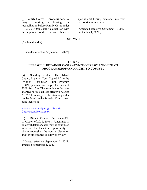**(j) Family Court - Reconciliation.** A party requesting a hearing for reconciliation before Family Court under RCW 26.09.030 shall file a petition with the superior court clerk and obtain a

specially set hearing date and time from the court administrator.

[Amended effective September 1, 2020; September 1, 2021.]

#### **SPR 98.04**

#### **(No Local Rules)**

[Rescinded effective September 1, 2022]

#### **LSPR 95**

# **UNLAWFUL DETAINER CASES – EVICTION RESOLUTION PILOT PROGRAM (ERPP) AND RIGHT TO COUNSEL**

**(a)** Standing Order. The Island County Superior Court "opted in" to the Eviction Resolution Pilot Program (ERPP) pursuant to Chap. 115, Laws of 2021 Sec. 7.A The standing order was adopted on this subject effective August 23, 2021. A copy of the standing order can be found on the Superior Court's web page located at:

[www.islandcountywa.gov/Superior](http://www.islandcountywa.gov/Superior%20Court/pages/Home.aspx)  [Court/pages/Home.aspx.](http://www.islandcountywa.gov/Superior%20Court/pages/Home.aspx)

**(b)** Right to Counsel. Pursuant to Ch. 115, Laws of 2021, Secs. 8-9, hearings in unlawful detainer cases may be continued to afford the tenant an opportunity to obtain counsel at the court's discretion and for time frames as allowed by law.

[Adopted effective September 1, 2021; amended September 1, 2022.]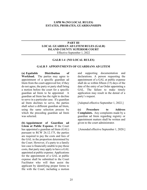# **LSPR 96 (NO LOCAL RULES) ESTATES, PROBATES, GUARDIANSHIPS**

#### **PART III LOCAL GUARDIAN AD LITEM RULES (GALR) ISLAND COUNTY SUPERIOR COURT** Effective September 1, 2022

# **GALR 1-4 (NO LOCAL RULES)**

#### **GALR 5 APPOINTMENTS OF GUARDIANS AD LITEM**

**(a) Equitable Distribution of Workload.** The parties may agree to appointment of a specific guardian ad litem from the court-approved list; if they do not agree, the party or party shall bring a motion before the court for a specific guardian ad litem to be appointed. A guardian ad litem has the right to decline to serve in a particular case. If a guardian ad litem declines to serve, the parties shall select a different guardian ad litem, using the same selection process by which the preceding guardian ad litem was selected.

**(b) Appointment of Guardian ad Litem at Public Expense.** If the Court has appointed a guardian ad litem (GAL) pursuant to RCW 26.12.175, the parties are required to pay the costs and fees of the GAL in the proportion determined by the Court. However, if a party to a family law case is financially unable to pay those costs, that party may apply to have a GAL appointed at public expense. Applications for the appointment of a GAL at public expense shall be submitted to the Court Facilitator who will then assist the applicant by identifying proper forms to file with the Court, including a motion and supporting documentation and declarations. A person requesting the appointment of a GAL at public expense shall do so within fifteen (15) days of the date of the entry of an Order appointing a GAL. The failure to make timely application may result in the denial of a party's request.

[Adopted effective September 1, 2022.]

**(c) Procedure to Address Complaints.** Any complaints made by a guardian ad litem regarding registry or appointment matters shall be written and given to the court administrator.

[Amended effective September 1, 2020.]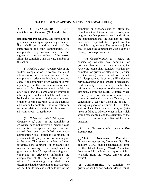# **GALR 7 GRIEVANCE PROCEDURES (a) Clear and Concise. (No Local Rules)**

**(b) Separate Procedures.** All complaints or grievances made by or against a guardian ad litem shall be in writing and shall be submitted to the court administrator. All complaints or grievances must bear the signature, name and address of the person filing the complaint, and the case number of the action.

 (1) *Pending Cases.* Upon receipt of the written complaint or grievance, the court administrator shall check to see if the complaint or grievance involves a pending case. If the complaint or grievance involves a pending case, the court administrator shall send out a form letter no later than 14 days after receiving the complaint or grievance advising the complainant that the matter must be handled in context of the pending case, either by seeking the removal of the guardian ad litem or by contesting the information or recommendations contained in the guardian ad litem's report or testimony.

 (2) *Grievances Filed Subsequent to Conclusion of Case.* If the complaint or grievance does not involve a pending case and the time for appeal has expired or any appeal has been concluded, the court administrator shall assign the complaint or grievance to the judge who was not assigned to the case. The reviewing judge shall then investigate the complaint or grievance and respond in writing to the complainant or grievance within 30 days of receiving such complaint or grievance, informing the complainant of the action that will be taken. The reviewing judge shall either determine that the complaint or grievance has no merit on its face and decline to review the

complaint or grievance and so inform the complainant, or determine that the complaint or grievance has potential merit and inform the complainant that the guardian ad litem has been requested to respond to the complaint or grievance. The reviewing judge shall provide the complainant with a copy of these grievance procedures.

 (3) *Considerations as to Merit.* In considering whether any complaint or grievance has merit or potential merit, the reviewing judge shall consider whether the complaint or grievance alleges the guardian ad litem has (i) violated a code of conduct, (ii) misrepresented his or her qualifications to serve as a guardian ad litem, (iii) breached the confidentiality of the parties, (iv) falsified information in a report to the court or in testimony before the court, (v) failed, when required, to report abuse of a child, (vi) communicated with a judicial officer *ex parte* concerning a case for which he or she is serving as guardian ad litem, (vii) violated state or local laws or court rules, or (viii) taken or failed to take any other action which would reasonably place the suitability of the person to serve as a guardian ad litem in question.

# **(c) Fair Treatment of Grievances. (No Local Rules)**

**(d) VGAL Grievance Procedure.**  Grievances against any Volunteer Guardian ad litem (VGAL) shall be handled as set forth in the Island County VGAL Volunteer Policies and Procedures, a copy of which is available from the VGAL director upon request.

**(e) Confidentiality.** A complaint or grievance shall be deemed confidential for all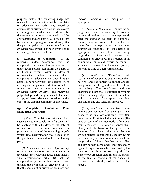purposes unless the reviewing judge has made a final determination that the complaint or grievance has merit. Any record of complaints or grievances filed which involve a pending case or which are not deemed by the reviewing judge to have merit shall be confidential and shall not be disclosed except by court order, upon good cause shown, after the person against whom the complaint or grievance was brought has been given notice and an opportunity to be heard.

**(f) Response to Complaint.** If the reviewing judge determines that the complaint or grievance has potential merit, the reviewing judge shall inform the guardian ad litem in writing within 30 days of receiving the complaint or grievance that a complaint or grievance has been brought against him or her which has potential merit and request the guardian ad litem to make a written response to the complaint or grievance within 20 days. The reviewing judge shall provide the guardian ad litem with a copy of these grievance procedures and a copy of the original complaint or grievance.

# **(g) Complaint Resolution Time Standards; Procedures.**

(1) *Time.* Complaints or grievance filed subsequent to the conclusion of a case shall be resolved within 60 days of the date of receipt of the written complaint or grievance. A copy of the reviewing judge's written final determination shall be mailed to the guardian ad litem and to the complaining party.

(2) *Final Determination.* Upon receipt of a written response to a complaint or grievance, the reviewing judge shall make a final determination either (i) that the complaint or grievance has no merit and dismiss the complaint or grievance, or (ii) that the complaint or grievance has merit and

impose sanctions or discipline, if appropriate.

(3) *Sanctions/Discipline.* The reviewing judge shall have the authority to issue a written admonition or a written reprimand, refer the guardian ad litem to additional training, suspend, remove the guardian ad litem from the registry, or impose other appropriate sanctions. In considering an appropriate form of discipline, the reviewing judge shall take into consideration any prior complaints or grievances that resulted in an admonition, reprimand, referral to training, suspension, removal from the registry, or any other mitigating or aggravating factors.

(4) *Finality of Disposition.* All resolutions of complaints or grievances shall be final and not subject to further appeal, except removal of a guardian ad litem from the registry. The complainant and the guardian ad litem shall be notified in writing of the reviewing judge's final determination and in the case of an appeal, the final disposition and any sanctions imposed.

(5) *Appeal Process.* A guardian ad litem who has been removed from the registry may appeal to the Superior Court bench by written notice to the Presiding Judge within ten (10) days of receipt of a written notice of removal from a registry. The notice of appeal shall clearly state the basis for the appeal. The Superior Court bench shall consider the written material considered by the reviewing judge and any written communication from the guardian ad litem. Neither the guardian ad litem nor any complainant may personally appear to argue issues to be considered by the Superior Court bench on such appeal. The Superior Court bench shall inform the parties of the final disposition of the appeal in writing within 20 days of receipt of the appeal.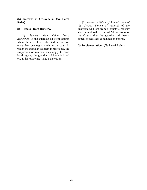**(h) Records of Grievances. (No Local Rules)**

#### **(i) Removal from Registry.**

(1) *Removal from Other Local Registries.* If the guardian ad litem against whom the discipline is directed is listed on more than one registry within the court in which the guardian ad litem is practicing, the suspension or removal may apply to each local registry the guardian ad litem is listed on, at the reviewing judge's discretion.

(2) *Notice to Office of Administrator of the Courts.* Notice of removal of the guardian ad litem from a county's registry shall be sent to the Office of Administrator of the Courts after the guardian ad litem's appeal process has concluded or expired.

# **(j) Implementation. (No Local Rules)**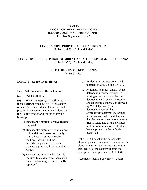# **PART IV LOCAL CRIMINAL RULES (LCrR) ISLAND COUNTY SUPERIOR COURT** Effective September 1, 2022

# **LCrR 1 SCOPE, PURPOSE AND CONSTRUCTION (Rules 1.1-1.5)** (**No Local Rules)**

# **LCrR 2 PROCEDURES PRIOR TO ARREST AND OTHER SPECIAL PROCEEDINGS (Rules 2.1-2.3)** (**No Local Rules)**

# **LCrR 3. RIGHTS OF DEFENDANTS (Rules 3.1-3.6)**

# **LCrR 3.1 – 3.3 (No Local Rules)**

# **LCrR 3.4 Presence of the Defendant**

#### **(a) (No Local Rule)**

**(b) When Necessary.** In addition to those hearings listed in CrR 3.4(b), as now or hereafter amended, the defendant shall be present, in person or remotely via video (at the Court's discretion,) for the following hearings:

- (1) Defendant's motion to waive right to jury trial;
- (2) Defendant's motion for continuance of trial date and waiver of speedy trial, unless the same is made at readiness hearing and the defendant's presence has been waived as provided in paragraph (5), below;
- (3) Any hearing at which the Court is required to conduct a colloquy with the defendant (e.g., request to selfrepresent);
- (4) Evidentiary hearings conducted pursuant to CrR 3.5 and CrR 3.6;
- (5) Readiness hearings, unless (i) the defendant's counsel affirms, in writing or in open court that the defendant has expressly chosen to appear through counsel, as allowed by  $CrR$  3.4(a) and (ii) that defendant's counsel has affirmatively determined, through recent contact with the defendant, that the matter is ready to proceed to trial as scheduled or that a written motion for continuance of trial has been approved by the defendant has been filed.

If the Court finds that the defendant's physical presence or remote appearance via video is required at a hearing pursuant to this local rule, the Court will enter an appropriate order pursuant to CrR 3.4(d).

(Adopted effective September 1, 2022)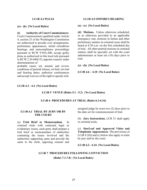#### **LCrR 4.2 PLEAS**

#### **(a) - (h) (No Local Rules)**

#### **(i) Authority of Court Commissioners.**

Court Commissioners qualified under Article 4, section 23 of the Washington Constitution are authorized to preside over arraignments, preliminary appearances, initial extradition hearings, and noncompliance proceedings pursuant to RCW 9.94A.200; accept guilty pleas as authorized in this local rule pursuant to RCW 2.24.040(15); appoint counsel; make determinations of

probable cause; set, amend, and review conditions of pretrial release; set bail; set trial and hearing dates; authorize continuances and accept waivers of the right to speedy trial.

#### **LCrR 4.5 OMNIBUS HEARING**

#### **(a) - (c) (No Local Rules)**

**(d) Motions.** Unless otherwise scheduled, or as otherwise provided in an applicable emergency rule, motions in limine and other preliminary matters in criminal cases shall be heard at 8:30 a.m. on the first scheduled day of trial. All other pretrial motions in criminal matters shall be specially set with the court administrator at least ten (10) days prior to trial.

**(e) - (h) (No Local Rules)**

**LCrR 4.6 – 4.10 (No Local Rules)**

#### **LCrR 4.3 - 4.4 (No Local Rules)**

#### **LCrR 5 VENUE (Rules 5.1 - 5.2**) (**No Local Rules)**

#### **LCrR 6 PROCEDURES AT TRIAL (Rules 6.1-6.16)**

#### **LCrR 6.1 TRIAL BY JURY OR BY THE COURT**

(a) **Trial Brief or Memorandum.**In criminal trials with contested legal or evidentiary issues, each party shall prepare a trial brief or memorandum of authorities containing the issues involved and the authorities supporting same and provide the same to the clerk, opposing counsel and

assigned judge by noon two (2) days prior to the date set for commencement of trial.

(b) **Jury Instructions.** LCR 51 shall apply in criminal trials.

(c) **StarLeaf and Approved Video and Telephonic Appearances**. The provisions of LCrR 8.2(b) and (c) below also apply to trials by jury and by the court.

**LCrR 6.2 - 6.16 (No Local Rules)**

#### **LCrR 7 PROCEDURES FOLLOWING CONVICTION**

#### **(Rules 7.1-7.8**) (**No Local Rules)**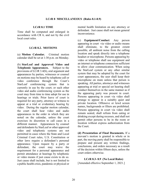#### **LCrR 8 MISCELLANEOUS (Rules 8.1-8.9)**

#### **LCrR 8.1 TIME**

Time shall be computed and enlarged in accordance with CR 6, and not by the civil local court rules.

#### **LCrR 8.2. MOTIONS**

(a) **Motion Calendar.** Criminal motion calendar shall be set at 1:30 p.m. on Monday.

(b) **StarLeaf and Approved Video and Telephonic Appearances.** Subject to the provisions of LCrR 3.4(b), oral argument and appearances by parties, witnesses or counsel on motions may be heard by telephone call or video conference through the Court's StarLeaf conferencing system that is currently in use by the court; or such other video and audio conferencing system as the court may from time to time adopt for use in hearings or trials. Prior leave of court is required for any party, attorney or witness to appear at a trial or evidentiary hearing by video. During the regular motion calendar, the court shall hear video and audio appearances in the order in which they are noted on the calendar, unless the court exercises its discretion to call cases in a different manner. Appearances by counsel and defendants by StarLeaf or other approved video and telephonic systems are not permitted in cases where the State and Local Criminal Court rules, U.S. Constitution or other laws require a defendant's personal appearance. Upon request by a party or defendant, the court may waive the requirement for a personal appearance and permit attendance at hearings by telephonic or video means if just cause exists to do so. Just cause shall include, but is not limited to a public health crisis, pandemic or physical or

mental health limitation on any attorney or defendant. Just cause shall not mean general inconvenience.

(c) **Equipment/Conduct***.* Any person appearing in court via video or audio means shall eliminate, to the greatest extent possible, all ambient noise from the calling location and speak directly into a telephone headset or microphone. Persons appearing by video or telephone shall use equipment and an internet or telephone connection sufficient to allow clear communication. When using the StarLeaf system or any other similar system that may be adopted by the court for court appearances, the user shall keep their microphone on mute unless that person is speaking. All parties, attorneys and witnesses appearing at trial or special set hearing shall conduct themselves in the same manner as if the appearing party was present in court. Persons appearing in court via video shall arrange to appear in a suitably quiet and private location. Offensive or lewd screen names, backgrounds or filters are prohibited. Persons appearing in court via video shall remain seated, shall refrain from eating or drinking except during recesses, and shall not permit other persons to be in the room or location without express authorization from the Court.

**(d) Presentation of Final Documents.** If a movant's motion is granted in whole or in part, the moving party shall be responsible to prepare and present any written findings, conclusions, and orders necessary as a result of the decision within fifteen days, unless the court orders otherwise.

**LCrR 8.3- 8.9****(No Local Rules)**

[Amended effective September 1, 2021.]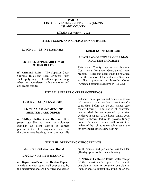# **PART V LOCAL JUVENILE COURT RULES (LJuCR) ISLAND COUNTY**

Effective September 1, 2022

#### **TITLE I SCOPE AND APPLICATION OF RULES**

#### **LJuCR 1.1 – 1.3 (No Local Rules)**

#### **LJuCR 1.4. APPLICABILITY OF OTHER RULES**

(a) **Criminal Rules.** The Superior Court Criminal Rules and Local Criminal Rules shall apply in juvenile offense proceedings when not inconsistent with these rules and applicable statutes.

#### **LJuCR 1.5 (No Local Rules)**

# **LJuCR 1.6 VOLUNTEER GUARDIAN AD LITEM PROGRAM**

This Island County Superior and Juvenile Court has a Volunteer Guardian ad litem program. Rules and details may be obtained from the director of the Volunteer Guardian ad litem program or Juvenile Court. [Amended effective September 1, 2021.]

### **TITLE II SHELTER CARE PROCEEDINGS**

#### **LJuCR 2.1-2.4** (**No Local Rules)**

#### **LJuCR 2.5 AMENDMENT OF SHELTER CARE ORDER**

(a) **30-Day Shelter Care Review***.* If a parent, guardian ad litem, or volunteer guardian ad litem wishes to contest placement of a child or any service ordered at the shelter care hearing, he or she must file

and serve on all parties and counsel a notice of contested issues no later than three (3) court days before the 30-day shelter care review hearing. The notice of contested hearing shall be accompanied by written evidence in support of the issue. Unless good cause is shown, failure to provide timely notice of contested issues shall constitute a waiver of the right to raise such issues at the 30-day shelter care review hearing.

#### **TITLE III DEPENDENCY PROCEEDINGS**

**LJuCR 3.1 - 3.8 (No Local Rules)**

# **LJuCR 3.9 REVIEW HEARING**

(a) **Department's Written Review Report***.*  A written review report shall be prepared by the department and shall be filed and served on all counsel and parties not less than ten (10) days prior to the review hearing.

(b) **Notice of Contested Issues***.* After receipt of the department's report, if a parent, guardian ad litem, or volunteer guardian ad litem wishes to contest any issue, he or she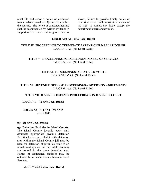must file and serve a notice of contested issues no later than three (3) court days before the hearing. The notice of contested hearing shall be accompanied by written evidence in support of the issue. Unless good cause is

shown, failure to provide timely notice of contested issues shall constitute a waiver of the right to contest any issue, except the department's permanency plan.

#### **LJuCR 3.10-3.11 (No Local Rules)**

# **TITLE IV PROCEEDINGS TO TERMINATE PARENT-CHILD RELATIONSHIP LJuCR 4.1-4.3 (No Local Rules)**

# **TITLE V PROCEEDINGS FOR CHILDREN IN NEED OF SERVICES LJuCR 5.1-5.7 (No Local Rules)**

# **TITLE 5A PROCEEDINGS FOR AT-RISK YOUTH LJuCR 5A.1-5A.6 (No Local Rules)**

# **TITLE VI. JUVENILE OFFENSE PROCEEDINGS – DIVERSION AGREEMENTS LJuCR 6.1-6.6 (No Local Rules)**

# **TITLE VII JUVENILE OFFENSE PROCEEDINGS IN JUVENILE COURT**

**LJuCR 7.1 - 7.2 (No Local Rules)**

# **LJuCR 7.3 DETENTION AND RELEASE**

#### **(a) - (f) (No Local Rules)**

**(g) Detention Facilities in Island County.**  The Island County juvenile court shall designate appropriate juvenile detention facilities for use; provided, that the detention area within the Island County jail may be used for detention of juveniles prior to an initial court appearance if no adult prisoners are housed in the same detention area. Names of designated facilities may be obtained from Island County Juvenile Court Services.

#### **LJuCR 7.5-7.15 (No Local Rules)**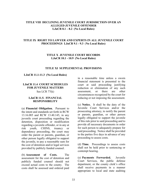# **TITLE VIII DECLINING JUVENILE COURT JURISDICTION OVER AN ALLEGED JUVENILE OFFENDER LJuCR 8.1 – 8.2 (No Local Rules)**

# **TITLE IX RIGHT TO LAWYER AND EXPERTS IN ALL JUVENILE COURT PROCEEDINGS LJuCR 9.1 - 9.3** (**No Local Rules)**

# **TITLE X JUVENILE COURT RECORDS LJuCR 10.1 - 10.9 (No Local Rules)**

#### **TITLE XI SUPPLEMENTAL PROVISIONS**

#### **LJuCR 11.1-11.3 (No Local Rules)**

# **LJuCR 11.4 COURT SCHEDULES FOR JUVENILE MATTERS**

See LCR 77(k)

# **LJuCR 11.5. FINANCIAL RESPONSIBILITY**

(a) **Financial Obligation.** Pursuant to the intent and standards set forth in RCW 13.16.085 and RCW 13.40.145, in any juvenile court proceeding regarding the detention, disposition or modification regarding a juvenile offender, or in any at risk youth, CHINS, truancy or dependency proceeding, the court may order the parent or parents, guardian, or other person legally obligated to support the juvenile, to pay a reasonable sum for the cost of detention and/or legal services provided by publicly funded counsel.

(b) **Assessment of Costs.** The assessment for the cost of detention and publicly funded counsel should not exceed actual costs to the county. The costs shall be assessed and ordered paid

in a reasonable time unless a sworn financial statement is presented to the court at said proceeding justifying reduction or elimination of any such assessment, or there are other circumstances recognized by the court for reducing or not imposing the assessment.

(c) **Notice.** It shall be the duty of the Juvenile Court Services and/or the prosecuting attorney, to notify the parent or parents, guardian, or other person legally obligated to support the juvenile of this rule prior to said proceeding and to provide all necessary documents in order for such person to adequately prepare for said proceeding. Notice shall be provided to the parties five days in advance of any proceeding to assess costs.

(d) **Time.** Proceedings to assess costs shall not be held prior to sentencing or contempt hearing.

(e) **Payments Forwarded.** Juvenile Court Services, the public defense department, or the county clerk's office shall receive payments in a manner appropriate to local and state auditing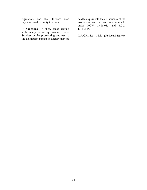regulations and shall forward such payments to the county treasurer.

(f) **Sanctions.** A show cause hearing with timely notice by Juvenile Court Services or the prosecuting attorney to the delinquent person or agency may be

held to inquire into the delinquency of the assessment and the sanctions available under RCW 13.16.085 and RCW 13.40.145.

**LJuCR 11.6 – 11.22 (No Local Rules)**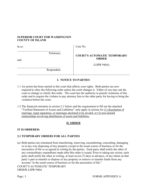# **SUPERIOR COURT FOR WASHINGTON COUNTY OF ISLAND**

\_\_\_\_\_\_\_\_\_\_\_\_\_\_\_\_\_\_\_\_\_\_\_\_\_\_\_\_\_\_

In re:

\_\_\_\_\_\_\_\_\_\_\_\_\_\_\_\_\_\_\_\_\_\_\_\_\_\_\_\_\_\_ Petitioner,

and

Respondent.

Case No.

# **COURT'S AUTOMATIC TEMPORARY ORDER**

(LSPR 94(b))

# **I. NOTICE TO PARTIES**

- 1.1 An action has been started in this court that affects your rights. Both parties are now required to obey the following order unless the court changes it. Either of you may ask the court to change or clarify this order. The court has the authority to punish violations of this order and to require the violator to pay attorney fees to the other party for having to bring the violation before the court.
- 1.2 The financial restraints in section 2.1 below and the requirement to fill out the attached "Verified Statement of Assets and Liabilities" only apply in actions for (1) dissolution of marriage, legal separation, or marriages declared to be invalid, or (2) non-marital relationships involving distribution of assets and liabilities.

# **II. ORDER**

# **IT IS ORDERED:**

# **2.1 TEMPORARY ORDERS FOR ALL PARTIES**

(a) Both parties are restrained from transferring, removing, encumbering, concealing, damaging or in any way disposing of any property except in the usual course of business or for the necessities of life or as agreed in writing by the parties. Each party shall notify the other of any extraordinary expenditure made after this order is issued. Prior to taking any action, each party shall notify the other in writing, at least seven (7) days in advance, of any intent on that party's part to transfer or dispose of any property or remove or transfer funds from any account "in the usual course of business or for the necessities of life."

COURT'S AUTOMATIC TEMPORARY ORDER-LSPR 94(b)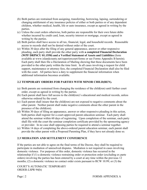- (b) Both parties are restrained from assigning, transferring, borrowing, lapsing, surrendering or changing entitlement of any insurance policies of either or both parties or of any dependent children, whether medical, health, life or auto insurance, except as agreed in writing by the parties.
- (c) Unless the court orders otherwise, both parties are responsible for their own future debts whether incurred by credit card, loan, security interest or mortgage, except as agreed in writing by the parties.
- (d) Both parties shall have access to all tax, financial, legal, and household records. Reasonable access to records shall not be denied without order of the court.
- (e) Within 30 days after the filing of any general appearance, answer or other responsive pleading, each party shall provide the other party with **a completed Financial Declaration (WPF DRPSCU 01.1550) and a Verified Statement of Assets and Liabilities** (form available at www.islandcounty.net/superiorcourt/forms or see Forms Appendix B herein). Each party shall then file a Declaration of Mailing showing that these documents have been provided to the other party within the time limit. In all cases involving a request for child support, maintenance or attorney fees, the completed Financial Declaration shall also be filed with the court. All parties have a duty to supplement the financial information when additional information becomes available.

# **2.2 TEMPORARY ORDERS FOR PARTIES WITH MINOR CHILD(REN).**

- (a) Both parents are restrained from changing the residence of the child(ren) until further court order, except as agreed in writing by the parties.
- (b) Each parent shall have full access to the child(ren)'s educational and medical records, unless otherwise ordered by the court.
- (c) Each parent shall insure that the child(ren) are not exposed to negative comments about the other parent. Neither parent shall make negative comments about the other parent in the presence of the child(ren).
- (d) Within 30 days of filing an appearance, answer or other responsive pleading in this action, both parties shall register for a court-approved parent education seminar. Each party shall attend the seminar within 60 days of registering. Upon completion of the seminar, each party shall file with the court the seminar completion certificate provided by the sponsoring agency or provider. In no case shall opposing parties be required to attend a seminar together.
- (e) Within 14 days of completing the above-ordered parent education seminar, each parent shall provide the other parent with a Proposed Parenting Plan, if they have not already done so.

# **2.3 MEDIATION AND SETTLEMENT CONFERENCE**

If the parties are not able to agree on the final terms of the Decree, they shall be required to participate in mediation of unresolved disputes. Mediation is not required in cases involving domestic violence. For purposes of this order, domestic violence has occurred in the relationship if (1) a domestic violence restraining order or protection order (excluding ex parte orders) involving the parties has been entered by a court at any time within the previous 12 months; (2) a domestic violence no contact order exists pursuant to RCW 10.99; or (3) the

COURT'S AUTOMATIC TEMPORARY ORDER-LSPR 94(b)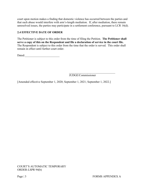court upon motion makes a finding that domestic violence has occurred between the parties and that such abuse would interfere with arm's-length mediation. If, after mediation, there remain unresolved issues, the parties may participate in a settlement conference, pursuant to LCR 16(d).

# **2.4 EFFECTIVE DATE OF ORDER**

The Petitioner is subject to this order from the time of filing the Petition. **The Petitioner shall serve a copy of this on the Respondent and file a declaration of service in the court file.** The Respondent is subject to this order from the time that the order is served. This order shall remain in effect until further court order.

Dated:\_\_\_\_\_\_\_\_\_\_\_\_\_\_\_\_\_\_\_\_\_\_\_\_

 $\mathcal{L}_\text{max}$  , which is a set of the set of the set of the set of the set of the set of the set of the set of the set of the set of the set of the set of the set of the set of the set of the set of the set of the set of JUDGE/Commissioner

[Amended effective September 1, 2020; September 1, 2021; September 1, 2022.]

COURT'S AUTOMATIC TEMPORARY ORDER-LSPR 94(b)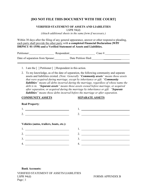# **[DO NOT FILE THIS DOCUMENT WITH THE COURT]**

# **VERIFIED STATEMENT OF ASSETS AND LIABILITIES**

LSPR 94(d)

*(Attach additional sheets in the same form if necessary.)*

Within 30 days after the filing of any general appearance, answer or other responsive pleading, each party shall provide the other party with **a completed Financial Declaration (WPF DRPSCU 01-1550) and a Verified Statement of Assets and Liabilities.**

| Petitioner:                     | Respondent:          | Case #: |
|---------------------------------|----------------------|---------|
| Date of separation from Spouse: | Date Petition filed: |         |

- 1. I am the [ ] Petitioner [ ] Respondent in this action.
- 2. To my knowledge, as of the date of separation, the following community and separate assets and liabilities existed. *(Note: Generally "Community assets" means those assets that were acquired during marriage, except by inheritance or gift. "Community liabilities" means all debts incurred during the marriage, regardless of whose name the debt is in. "Separate assets" means those assets owned before marriage, or acquired after separation, or acquired during the marriage by inheritance or gift. "Separate liabilities" means those debts incurred before the marriage or after separation.*

# **COMMUNITY ASSETS SEPARATE ASSETS**

# **Real Property**:

# **Vehicles (autos, trailers, boats, etc.):**

| .,      |  |
|---------|--|
| ∍<br>۷. |  |
| 3.      |  |
| 4.      |  |

# VERIFIED STATEMENT OF ASSETS/LIABILITIES LSPR 94(d) FORMS APPENDIX B Page | 1 **Bank Accounts:**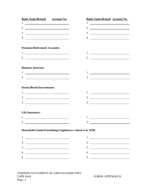| <b>Bank Name/Branch Account No.</b>                                                                                                                                                                                                                                                                                    | <b>Bank Name/Branch Account No.</b>                                                                                                                                                                                                                                                                                    |
|------------------------------------------------------------------------------------------------------------------------------------------------------------------------------------------------------------------------------------------------------------------------------------------------------------------------|------------------------------------------------------------------------------------------------------------------------------------------------------------------------------------------------------------------------------------------------------------------------------------------------------------------------|
|                                                                                                                                                                                                                                                                                                                        |                                                                                                                                                                                                                                                                                                                        |
|                                                                                                                                                                                                                                                                                                                        | 2. $\overline{\qquad \qquad }$                                                                                                                                                                                                                                                                                         |
|                                                                                                                                                                                                                                                                                                                        | $\frac{3}{2}$                                                                                                                                                                                                                                                                                                          |
|                                                                                                                                                                                                                                                                                                                        | 4. $\overline{\phantom{a}}$                                                                                                                                                                                                                                                                                            |
|                                                                                                                                                                                                                                                                                                                        |                                                                                                                                                                                                                                                                                                                        |
| <b>Pensions/Retirement Accounts:</b>                                                                                                                                                                                                                                                                                   |                                                                                                                                                                                                                                                                                                                        |
|                                                                                                                                                                                                                                                                                                                        | $1. \_$                                                                                                                                                                                                                                                                                                                |
|                                                                                                                                                                                                                                                                                                                        | 2. $\overline{\qquad \qquad }$                                                                                                                                                                                                                                                                                         |
|                                                                                                                                                                                                                                                                                                                        |                                                                                                                                                                                                                                                                                                                        |
| <b>Business Interests:</b>                                                                                                                                                                                                                                                                                             |                                                                                                                                                                                                                                                                                                                        |
|                                                                                                                                                                                                                                                                                                                        |                                                                                                                                                                                                                                                                                                                        |
| 2. $\frac{1}{\sqrt{1-\frac{1}{2}}\left(1-\frac{1}{2}\right)}$                                                                                                                                                                                                                                                          | $2. \_$                                                                                                                                                                                                                                                                                                                |
|                                                                                                                                                                                                                                                                                                                        |                                                                                                                                                                                                                                                                                                                        |
| <b>Stocks/Bonds/Investments:</b>                                                                                                                                                                                                                                                                                       |                                                                                                                                                                                                                                                                                                                        |
| $1.$ $\frac{1}{2}$ $\frac{1}{2}$ $\frac{1}{2}$ $\frac{1}{2}$ $\frac{1}{2}$ $\frac{1}{2}$ $\frac{1}{2}$ $\frac{1}{2}$ $\frac{1}{2}$ $\frac{1}{2}$ $\frac{1}{2}$ $\frac{1}{2}$ $\frac{1}{2}$ $\frac{1}{2}$ $\frac{1}{2}$ $\frac{1}{2}$ $\frac{1}{2}$ $\frac{1}{2}$ $\frac{1}{2}$ $\frac{1}{2}$ $\frac{1}{2}$ $\frac{1}{$ | $1.$ $\frac{1}{2}$ $\frac{1}{2}$ $\frac{1}{2}$ $\frac{1}{2}$ $\frac{1}{2}$ $\frac{1}{2}$ $\frac{1}{2}$ $\frac{1}{2}$ $\frac{1}{2}$ $\frac{1}{2}$ $\frac{1}{2}$ $\frac{1}{2}$ $\frac{1}{2}$ $\frac{1}{2}$ $\frac{1}{2}$ $\frac{1}{2}$ $\frac{1}{2}$ $\frac{1}{2}$ $\frac{1}{2}$ $\frac{1}{2}$ $\frac{1}{2}$ $\frac{1}{$ |
|                                                                                                                                                                                                                                                                                                                        | $2. \_$                                                                                                                                                                                                                                                                                                                |
| $\frac{3}{2}$                                                                                                                                                                                                                                                                                                          |                                                                                                                                                                                                                                                                                                                        |
|                                                                                                                                                                                                                                                                                                                        |                                                                                                                                                                                                                                                                                                                        |
| <b>Life Insurance:</b>                                                                                                                                                                                                                                                                                                 |                                                                                                                                                                                                                                                                                                                        |
|                                                                                                                                                                                                                                                                                                                        |                                                                                                                                                                                                                                                                                                                        |
| 2. $\overline{\phantom{a}}$                                                                                                                                                                                                                                                                                            | 2. $\qquad \qquad$                                                                                                                                                                                                                                                                                                     |
|                                                                                                                                                                                                                                                                                                                        |                                                                                                                                                                                                                                                                                                                        |
| Household Goods/Furnishings/Appliances valued over \$250:                                                                                                                                                                                                                                                              |                                                                                                                                                                                                                                                                                                                        |
| 1. <u>______________________________</u>                                                                                                                                                                                                                                                                               |                                                                                                                                                                                                                                                                                                                        |
| 2. $\qquad$                                                                                                                                                                                                                                                                                                            | 2. $\qquad$                                                                                                                                                                                                                                                                                                            |
|                                                                                                                                                                                                                                                                                                                        |                                                                                                                                                                                                                                                                                                                        |
| 4.                                                                                                                                                                                                                                                                                                                     |                                                                                                                                                                                                                                                                                                                        |
|                                                                                                                                                                                                                                                                                                                        |                                                                                                                                                                                                                                                                                                                        |
|                                                                                                                                                                                                                                                                                                                        |                                                                                                                                                                                                                                                                                                                        |

FORMS APPENDIX B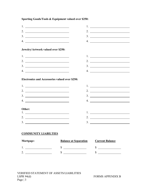# **Sporting Goods/Tools & Equipment valued over \$250:**

|                                                                                                                                                                                                                                                                                                                                                                                                                  | 2. $\qquad \qquad$                                                                                                                                                                                                                                                                                                                                                                                                                                     |  |
|------------------------------------------------------------------------------------------------------------------------------------------------------------------------------------------------------------------------------------------------------------------------------------------------------------------------------------------------------------------------------------------------------------------|--------------------------------------------------------------------------------------------------------------------------------------------------------------------------------------------------------------------------------------------------------------------------------------------------------------------------------------------------------------------------------------------------------------------------------------------------------|--|
|                                                                                                                                                                                                                                                                                                                                                                                                                  |                                                                                                                                                                                                                                                                                                                                                                                                                                                        |  |
|                                                                                                                                                                                                                                                                                                                                                                                                                  |                                                                                                                                                                                                                                                                                                                                                                                                                                                        |  |
| Jewelry/Artwork valued over \$250:                                                                                                                                                                                                                                                                                                                                                                               |                                                                                                                                                                                                                                                                                                                                                                                                                                                        |  |
|                                                                                                                                                                                                                                                                                                                                                                                                                  | $1. \underline{\hspace{2cm}}$                                                                                                                                                                                                                                                                                                                                                                                                                          |  |
| 2. $\qquad \qquad$                                                                                                                                                                                                                                                                                                                                                                                               | 2. $\overline{\qquad \qquad }$                                                                                                                                                                                                                                                                                                                                                                                                                         |  |
|                                                                                                                                                                                                                                                                                                                                                                                                                  |                                                                                                                                                                                                                                                                                                                                                                                                                                                        |  |
| 4.                                                                                                                                                                                                                                                                                                                                                                                                               | 4. $\overline{\phantom{a}}$                                                                                                                                                                                                                                                                                                                                                                                                                            |  |
| <b>Electronics and Accessories valued over \$250:</b>                                                                                                                                                                                                                                                                                                                                                            |                                                                                                                                                                                                                                                                                                                                                                                                                                                        |  |
| 1. <u>____________________________</u>                                                                                                                                                                                                                                                                                                                                                                           | 1. <u>_________________________</u>                                                                                                                                                                                                                                                                                                                                                                                                                    |  |
| 2. $\frac{1}{\sqrt{1-\frac{1}{2}}\sqrt{1-\frac{1}{2}}\sqrt{1-\frac{1}{2}}\sqrt{1-\frac{1}{2}}\sqrt{1-\frac{1}{2}}\sqrt{1-\frac{1}{2}}\sqrt{1-\frac{1}{2}}\sqrt{1-\frac{1}{2}}\sqrt{1-\frac{1}{2}}\sqrt{1-\frac{1}{2}}\sqrt{1-\frac{1}{2}}\sqrt{1-\frac{1}{2}}\sqrt{1-\frac{1}{2}}\sqrt{1-\frac{1}{2}}\sqrt{1-\frac{1}{2}}\sqrt{1-\frac{1}{2}}\sqrt{1-\frac{1}{2}}\sqrt{1-\frac{1}{2}}\sqrt{1-\frac{1}{2}}\sqrt{$ | 2. $\frac{1}{\sqrt{1-\frac{1}{2}} \cdot \frac{1}{2} \cdot \frac{1}{2} \cdot \frac{1}{2} \cdot \frac{1}{2} \cdot \frac{1}{2} \cdot \frac{1}{2} \cdot \frac{1}{2} \cdot \frac{1}{2} \cdot \frac{1}{2} \cdot \frac{1}{2} \cdot \frac{1}{2} \cdot \frac{1}{2} \cdot \frac{1}{2} \cdot \frac{1}{2} \cdot \frac{1}{2} \cdot \frac{1}{2} \cdot \frac{1}{2} \cdot \frac{1}{2} \cdot \frac{1}{2} \cdot \frac{1}{2} \cdot \frac{1}{2} \cdot \frac{1}{2} \cdot \$ |  |
|                                                                                                                                                                                                                                                                                                                                                                                                                  |                                                                                                                                                                                                                                                                                                                                                                                                                                                        |  |
|                                                                                                                                                                                                                                                                                                                                                                                                                  |                                                                                                                                                                                                                                                                                                                                                                                                                                                        |  |
| Other:                                                                                                                                                                                                                                                                                                                                                                                                           |                                                                                                                                                                                                                                                                                                                                                                                                                                                        |  |
|                                                                                                                                                                                                                                                                                                                                                                                                                  |                                                                                                                                                                                                                                                                                                                                                                                                                                                        |  |
| 2. $\frac{1}{\sqrt{1-\frac{1}{2}}\sqrt{1-\frac{1}{2}}\sqrt{1-\frac{1}{2}}\sqrt{1-\frac{1}{2}}\sqrt{1-\frac{1}{2}}\sqrt{1-\frac{1}{2}}\sqrt{1-\frac{1}{2}}\sqrt{1-\frac{1}{2}}\sqrt{1-\frac{1}{2}}\sqrt{1-\frac{1}{2}}\sqrt{1-\frac{1}{2}}\sqrt{1-\frac{1}{2}}\sqrt{1-\frac{1}{2}}\sqrt{1-\frac{1}{2}}\sqrt{1-\frac{1}{2}}\sqrt{1-\frac{1}{2}}\sqrt{1-\frac{1}{2}}\sqrt{1-\frac{1}{2}}\sqrt{1-\frac{1}{2}}\sqrt{$ | 2. $\qquad \qquad$                                                                                                                                                                                                                                                                                                                                                                                                                                     |  |
|                                                                                                                                                                                                                                                                                                                                                                                                                  |                                                                                                                                                                                                                                                                                                                                                                                                                                                        |  |

# **COMMUNITY LIABILTIES**

| Mortgage: | <b>Balance at Separation</b> | <b>Current Balance</b> |
|-----------|------------------------------|------------------------|
|           |                              |                        |
| ◠         |                              |                        |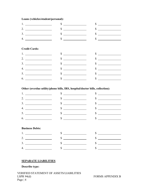# **Loans (vehicles/student/personal):**

| 2.                                                                                                                                                                                                                                                                                                                                                                                                                           | \$<br><u> 1989 - Andrea Station Books, amerikansk politik (</u>                                                                      |              |
|------------------------------------------------------------------------------------------------------------------------------------------------------------------------------------------------------------------------------------------------------------------------------------------------------------------------------------------------------------------------------------------------------------------------------|--------------------------------------------------------------------------------------------------------------------------------------|--------------|
| 3.<br><u> 1989 - John Stein, mars and de Branch and de Branch and de Branch and de Branch and de Branch and de Branch an</u>                                                                                                                                                                                                                                                                                                 | $\mathbb{S}$<br><u> 1989 - Andrea Andrew Maria III, populație de la provincia de la provincia de la provincia de la provincia de</u> |              |
| 4.                                                                                                                                                                                                                                                                                                                                                                                                                           | $\mathbb{S}$                                                                                                                         | $\mathbb{S}$ |
|                                                                                                                                                                                                                                                                                                                                                                                                                              |                                                                                                                                      |              |
| <b>Credit Cards:</b>                                                                                                                                                                                                                                                                                                                                                                                                         |                                                                                                                                      |              |
| $\begin{tabular}{ c c c } \hline $1$. & \begin{tabular}{ c c c c } \hline $1$. & \begin{tabular}{ c c c } \hline $1$. & \begin{tabular}{ c c c } \hline $1$. & \begin{tabular}{ c c c } \hline $1$. & \begin{tabular}{ c c c } \hline $1$. & \begin{tabular}{ c c c } \hline $1$. & \begin{tabular}{ c c c } \hline $1$. & \begin{tabular}{ c c c } \hline $1$. & \begin{tabular}{ c c c } \hline $1.$ & \begin{tabular}{ c$ |                                                                                                                                      |              |
| 2.<br><u> 1989 - Johann Barnett, fransk politiker (</u>                                                                                                                                                                                                                                                                                                                                                                      | \$                                                                                                                                   |              |
| 3.                                                                                                                                                                                                                                                                                                                                                                                                                           | $\mathcal{S}$                                                                                                                        |              |
| 4.                                                                                                                                                                                                                                                                                                                                                                                                                           | \$                                                                                                                                   |              |
| 5.<br><u> 1990 - Johann Barbara, p</u> ensa                                                                                                                                                                                                                                                                                                                                                                                  | \$                                                                                                                                   |              |
| 6.                                                                                                                                                                                                                                                                                                                                                                                                                           | S                                                                                                                                    |              |

# **Other (overdue utility/phone bills, IRS, hospital/doctor bills, collection):**

| 1.<br><u> 1989 - Jan Barbara Barbara, manazarta da </u> |                                                                 | \$                                   |
|---------------------------------------------------------|-----------------------------------------------------------------|--------------------------------------|
| 2.                                                      | \$                                                              | \$                                   |
| 3.<br><u> 1989 - Johann John Stone, mensk politik (</u> |                                                                 | \$                                   |
| 4.                                                      | <u> 1989 - Andrea Barbara, poeta espa</u>                       | S                                    |
| 5.                                                      | \$                                                              | \$                                   |
|                                                         | \$                                                              | $\mathbb{S}$<br><u>and the state</u> |
|                                                         |                                                                 |                                      |
| <b>Business Debts:</b>                                  |                                                                 |                                      |
| 1. $\qquad \qquad$                                      | \$<br><u> 1989 - Andrea Station Books, amerikansk politik (</u> | \$                                   |
| 2.                                                      | \$                                                              | \$                                   |
| 3.                                                      |                                                                 |                                      |
| 4.                                                      |                                                                 | S                                    |

# **SEPARATE LIABILITIES**

# **Describe type:**

VERIFIED STATEMENT OF ASSETS/LIABILITIES LSPR 94(d) FORMS APPENDIX B Page | 4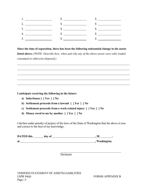

**Since the time of separation, there has been the following substantial change in the assets listed above:** *(NOTE: Describe how, when and why any of the above assets were sold, traded, consumed or otherwise disposed.)*

**I anticipate receiving the following in the future:**

- **a) Inheritance [ ] Yes [ ] No**
- **b) Settlement proceeds from a lawsuit [ ] Yes [ ] No**
- **c) Settlement proceeds from a work-related injury [ ] Yes [ ] No**
- **d) Money owed to me by another [ ] Yes [ ] No**

I declare under penalty of perjury of the laws of the State of Washington that the above is true and correct to the best of my knowledge.

| <b>DATED</b> this | day of | -40           |
|-------------------|--------|---------------|
| at                |        | , Washington. |

Declarant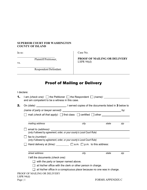# **SUPERIOR COURT FOR WASHINGTON COUNTY OF ISLAND**

| In re: |                       | Case No.                                            |
|--------|-----------------------|-----------------------------------------------------|
| VS.    | Plaintiff/Petitioner, | <b>PROOF OF MAILING OR DELIVERY</b><br>LSPR $94(d)$ |
|        | Respondent/Defendant. |                                                     |

# Proof of Mailing or Delivery

I declare:

| 1. | and am competent to be a witness in this case.                                                     |                                                                        |       |     |  |  |
|----|----------------------------------------------------------------------------------------------------|------------------------------------------------------------------------|-------|-----|--|--|
| 2. | On (date): ___________________________, I served copies of the documents listed in 3 below to      |                                                                        |       |     |  |  |
|    |                                                                                                    |                                                                        |       |     |  |  |
|    | $\Box$ mail <i>(check all that apply):</i> $\Box$ first class $\Box$ certified $\Box$ other $\Box$ |                                                                        |       |     |  |  |
|    | mailing address                                                                                    | city                                                                   | state | zip |  |  |
|    |                                                                                                    |                                                                        |       |     |  |  |
|    | (only if allowed by agreement, order, or your county's Local Court Rule)                           |                                                                        |       |     |  |  |
|    | Hand delivery at (time): $\Box$ a.m. $\Box$ p.m. to this address:                                  |                                                                        |       |     |  |  |
|    | street address                                                                                     | city                                                                   | state | zip |  |  |
|    | I left the documents (check one):                                                                  |                                                                        |       |     |  |  |
|    | with the party or lawyer named above.                                                              |                                                                        |       |     |  |  |
|    | at his/her office with the clerk or other person in charge.                                        |                                                                        |       |     |  |  |
|    |                                                                                                    | at his/her office in a conspicuous place because no one was in charge. |       |     |  |  |
|    | PROOF OF MAILING OR DELIVERY                                                                       |                                                                        |       |     |  |  |
|    | LSPR $94(d)$                                                                                       |                                                                        |       |     |  |  |
|    | <b>FORMS APPENDIX C</b><br>Page $ 1$                                                               |                                                                        |       |     |  |  |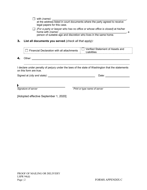□ with *(name):* <u>\_\_\_\_\_\_</u>

at the address listed in court documents where the party agreed to receive legal papers for this case.

*(For a party or lawyer who has no office or whose office is closed)* at his/her home with *(name):* , a person of suitable age and discretion who lives in the same home.

# 3. **List all documents you served** *(check all that apply):*

4. Other:

I declare under penalty of perjury under the laws of the state of Washington that the statements on this form are true.

Signed at *(city and state):* <u>Date:</u> Date:

*Signature of server Print or type name of server*

[Adopted effective September 1, 2020]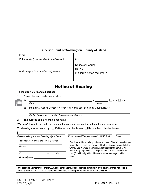# **Superior Court of Washington, County of Island**

| In re:                                         |                                                                       |
|------------------------------------------------|-----------------------------------------------------------------------|
| Petitioner/s (person/s who started this case): | No.                                                                   |
| And Respondent/s (other party/parties):        | Notice of Hearing<br>(NTHG)<br>$\boxtimes$ Clerk's action required: 1 |

# Notice of Hearing

#### **To the Court Clerk and all parties:**

|  | A court hearing has been scheduled: |
|--|-------------------------------------|
|--|-------------------------------------|

|              | for: |                                                  | at:<br>a.m.<br>p.m.                                                                                                                                                                                                  |
|--------------|------|--------------------------------------------------|----------------------------------------------------------------------------------------------------------------------------------------------------------------------------------------------------------------------|
|              |      | date                                             | time                                                                                                                                                                                                                 |
|              | at:  |                                                  | the Law & Justice Center, 1 <sup>st</sup> Floor, 101 North East 6 <sup>th</sup> Street, Coupeville, WA                                                                                                               |
|              |      | docket / calendar or judge / commissioner's name |                                                                                                                                                                                                                      |
| $\mathbf{2}$ |      | The purpose of this hearing is <i>(specify):</i> |                                                                                                                                                                                                                      |
|              |      |                                                  | <b>Warning!</b> If you do not go to the hearing, the court may sign orders without hearing your side.                                                                                                                |
|              |      |                                                  | This hearing was requested by: $\Box$ Petitioner or his/her lawyer $\Box$ Respondent or his/her lawyer                                                                                                               |
|              |      | Person asking for this hearing signs here        | Print name (if lawyer, also list WSBA #)<br>Date                                                                                                                                                                     |
|              |      | I agree to accept legal papers for this case at: | This does not have to be your home address. If this address changes                                                                                                                                                  |
| address      |      |                                                  | before the case ends, you must notify all parties and the court clerk in<br>writing. You may use the Notice of Address Change form (FL All<br>Family 120). A party must also update his/her Confidential Information |
| city         |      | state<br>zip                                     | form (FL All Family 001) if this case involves parentage or child                                                                                                                                                    |
|              |      | ( <b>Optional</b> ) email:                       | support.                                                                                                                                                                                                             |

**If you require an interpreter and/or ADA accommodations, please provide a minimum of 10 days' advance notice to the court at 360-679-7363. TTY/TTD users please call the Washington Relay Service at 1-800-833-63.88**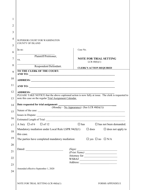| 1              |                                                                                                                                                                 |            |                                |                                  |  |
|----------------|-----------------------------------------------------------------------------------------------------------------------------------------------------------------|------------|--------------------------------|----------------------------------|--|
|                |                                                                                                                                                                 |            |                                |                                  |  |
| $\overline{2}$ |                                                                                                                                                                 |            |                                |                                  |  |
| 3              |                                                                                                                                                                 |            |                                |                                  |  |
| $\overline{4}$ | SUPERIOR COURT FOR WASHINGTON                                                                                                                                   |            |                                |                                  |  |
| 5              | <b>COUNTY OF ISLAND</b>                                                                                                                                         |            |                                |                                  |  |
| 6              | In re:                                                                                                                                                          | Case No.   |                                |                                  |  |
| 7              | Plaintiff/Petitioner,                                                                                                                                           |            | <b>NOTE FOR TRIAL SETTING</b>  |                                  |  |
|                | VS.                                                                                                                                                             |            | LCR $40(b)(1)$                 |                                  |  |
| 8              | Respondent/Defendant.                                                                                                                                           |            | <b>CLERK'S ACTION REQUIRED</b> |                                  |  |
| 9              | TO THE CLERK OF THE COURT:                                                                                                                                      |            |                                |                                  |  |
| 10             |                                                                                                                                                                 |            |                                |                                  |  |
| 11             | AND TO:                                                                                                                                                         |            |                                |                                  |  |
| 12             | <b>ADDRESS:</b>                                                                                                                                                 |            |                                |                                  |  |
| 13             | PLEASE TAKE NOTICE that the above captioned action is now fully at issue. The clerk is requested to<br>note this case on the regular Trial Assignment Calendar. |            |                                |                                  |  |
| 14             | Date requested for trial assignment:                                                                                                                            |            |                                |                                  |  |
|                | $(Monday - No Appearance)$ (See LCR 40(b)(1))                                                                                                                   |            |                                |                                  |  |
| 15             | Issues in Dispute:                                                                                                                                              |            |                                |                                  |  |
| 16             |                                                                                                                                                                 |            |                                |                                  |  |
| 17             | A Jury $\Box$ of 6<br>$\Box$ of 12                                                                                                                              | $\Box$ has |                                | $\square$ has not been demanded. |  |
| 18             | Mandatory mediation under Local Rule LSPR 94(f)(1)                                                                                                              |            | $\Box$ does                    | $\Box$ does not apply to         |  |
|                | this case.                                                                                                                                                      |            |                                |                                  |  |
| 19             | The parties have completed mandatory mediation: $\square$ yes $\square$ no $\square$ N/A                                                                        |            |                                |                                  |  |
| 20             |                                                                                                                                                                 |            |                                |                                  |  |
| 21             |                                                                                                                                                                 | (Sign)     |                                |                                  |  |
| 22             |                                                                                                                                                                 |            | Attorney for                   |                                  |  |
|                |                                                                                                                                                                 |            |                                |                                  |  |
| 23             | Amended effective September 1, 2020                                                                                                                             |            |                                |                                  |  |
| 24             |                                                                                                                                                                 |            |                                |                                  |  |
|                |                                                                                                                                                                 |            |                                |                                  |  |
|                | NOTE FOR TRIAL SETTING-LCR 40(b)(1)                                                                                                                             |            |                                | <b>FORMS APPENDIX E</b>          |  |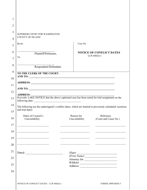| SUPERIOR COURT FOR WASHINGTON                                                                                                                                                                                                                                                                    |                                                                            |                                                                                                                                                                                                                                      |
|--------------------------------------------------------------------------------------------------------------------------------------------------------------------------------------------------------------------------------------------------------------------------------------------------|----------------------------------------------------------------------------|--------------------------------------------------------------------------------------------------------------------------------------------------------------------------------------------------------------------------------------|
| <b>COUNTY OF ISLAND</b>                                                                                                                                                                                                                                                                          |                                                                            |                                                                                                                                                                                                                                      |
| In re:                                                                                                                                                                                                                                                                                           | Case No.                                                                   |                                                                                                                                                                                                                                      |
| Plaintiff/Petitioner,<br>VS.                                                                                                                                                                                                                                                                     |                                                                            | <b>NOTICE OF CONFLICT DATES</b><br>LCR $40(b)(1)$                                                                                                                                                                                    |
|                                                                                                                                                                                                                                                                                                  |                                                                            |                                                                                                                                                                                                                                      |
| Respondent/Defendant.                                                                                                                                                                                                                                                                            |                                                                            |                                                                                                                                                                                                                                      |
| TO THE CLERK OF THE COURT:<br>AND TO:                                                                                                                                                                                                                                                            |                                                                            |                                                                                                                                                                                                                                      |
|                                                                                                                                                                                                                                                                                                  |                                                                            |                                                                                                                                                                                                                                      |
|                                                                                                                                                                                                                                                                                                  |                                                                            |                                                                                                                                                                                                                                      |
|                                                                                                                                                                                                                                                                                                  |                                                                            |                                                                                                                                                                                                                                      |
|                                                                                                                                                                                                                                                                                                  |                                                                            |                                                                                                                                                                                                                                      |
|                                                                                                                                                                                                                                                                                                  |                                                                            |                                                                                                                                                                                                                                      |
| AND TO:<br><b>ADDRESS:</b><br>PLEASE TAKE NOTICE that the above captioned case has been noted for trial assignment on the<br>The following are the undersigned's conflict dates, which are limited to previously scheduled vacations<br>and trial dates:<br>Dates of Counsel's<br>Unavailability | Reason for<br>Unavailability                                               | Reference<br>(Court and Cause No.)                                                                                                                                                                                                   |
| the control of the control of the control of the control of the control of<br><u> 1989 - Johann Barbara, martin amerikan basar dan berasal dalam basar dalam basar dalam basar dalam basar dala</u>                                                                                              | the control of the control of the control of the control of the control of |                                                                                                                                                                                                                                      |
| the control of the control of the control of the control of the control of                                                                                                                                                                                                                       | the control of the control of the control of the control of the control of | <u> Andreas Andreas Andreas Andreas Andreas Andreas Andreas Andreas Andreas Andreas Andreas Andreas Andreas Andreas Andreas Andreas Andreas Andreas Andreas Andreas Andreas Andreas Andreas Andreas Andreas Andreas Andreas Andr</u> |
|                                                                                                                                                                                                                                                                                                  | (Sign)                                                                     | $(Print\ Name)$                                                                                                                                                                                                                      |
|                                                                                                                                                                                                                                                                                                  |                                                                            | Attorney for                                                                                                                                                                                                                         |
|                                                                                                                                                                                                                                                                                                  |                                                                            |                                                                                                                                                                                                                                      |
|                                                                                                                                                                                                                                                                                                  |                                                                            |                                                                                                                                                                                                                                      |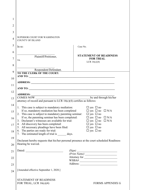| SUPERIOR COURT FOR WASHINGTON<br><b>COUNTY OF ISLAND</b>                                 |                                                                                           |
|------------------------------------------------------------------------------------------|-------------------------------------------------------------------------------------------|
| In re:                                                                                   | Case No.                                                                                  |
|                                                                                          |                                                                                           |
| Plaintiff/Petitioner,                                                                    | <b>STATEMENT OF READINESS</b>                                                             |
| VS.                                                                                      | <b>FOR TRIAL</b><br>LCR $16(c)(4)$                                                        |
|                                                                                          |                                                                                           |
| Respondent/Defendant.                                                                    |                                                                                           |
| TO THE CLERK OF THE COURT:                                                               |                                                                                           |
| AND TO:                                                                                  |                                                                                           |
|                                                                                          |                                                                                           |
| AND TO:                                                                                  |                                                                                           |
|                                                                                          |                                                                                           |
| ADDRESS: COMES NOW                                                                       | by and through his/her                                                                    |
| attorney of record and pursuant to LCR $16(c)(4)$ certifies as follows:                  |                                                                                           |
| 1. This case is subject to mandatory mediation: $\square$ yes $\square$ no               |                                                                                           |
| If so, mandatory mediation has been completed $\square$ yes $\square$ no $\square$ N/A   |                                                                                           |
| 2. This case is subject to mandatory parenting seminar: $\square$ yes $\square$ no       |                                                                                           |
| If so, the parenting seminar has been completed:                                         | $\Box$ yes $\Box$ no $\Box$ N/A                                                           |
| 3. Declarant's witnesses are available for trial:                                        | $\square$ yes $\square$ no $\square$ N/A                                                  |
| 4. All discovery has been completed:                                                     | $\Box$ yes $\Box$ no                                                                      |
| 5. All necessary pleadings have been filed:                                              | $\Box$ yes $\Box$ no                                                                      |
| 6. The parties are ready for trial:<br>7. The estimated length of trial is _______ days. | $\Box$ yes $\Box$ no                                                                      |
|                                                                                          |                                                                                           |
|                                                                                          | Declarant hereby requests that his/her personal presence at the court scheduled Readiness |
| Hearing be waived.                                                                       |                                                                                           |
|                                                                                          |                                                                                           |
|                                                                                          |                                                                                           |
|                                                                                          | Attorney for                                                                              |
|                                                                                          |                                                                                           |
|                                                                                          |                                                                                           |
| [Amended effective September 1, 2020.]                                                   |                                                                                           |
| STATEMENT OF READINESS                                                                   |                                                                                           |
| FOR TRIAL, LCR 16(c)(4)                                                                  | <b>FORMS APPENDIX G</b>                                                                   |
|                                                                                          |                                                                                           |

 $\parallel$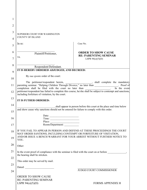| SUPERIOR COURT FOR WASHINGTON                                                                                                              |                                                                                                              |
|--------------------------------------------------------------------------------------------------------------------------------------------|--------------------------------------------------------------------------------------------------------------|
| <b>COUNTY OF ISLAND</b>                                                                                                                    |                                                                                                              |
| In re:                                                                                                                                     | Case No.                                                                                                     |
|                                                                                                                                            | <b>ORDER TO SHOW CAUSE</b>                                                                                   |
| Plaintiff/Petitioner,<br>VS.                                                                                                               | <b>RE: PARENTING SEMINAR</b>                                                                                 |
|                                                                                                                                            | LSPR $94(e)(5)(D)$                                                                                           |
| Respondent/Defendant.                                                                                                                      |                                                                                                              |
| IT IS HEREBY ORDERED ADJUDGED, AND DECREED:                                                                                                |                                                                                                              |
| By sua sponte order of the court:                                                                                                          |                                                                                                              |
| The petitioner/respondent herein,                                                                                                          | shall complete the mandatory                                                                                 |
| parenting seminar. "Helping Children Through Divorce," no later than ___________<br>completion shall be filed with the court no later than | . Proof of<br>In the event                                                                                   |
| including forfeiture of visitation, by the court.                                                                                          | petitioner/respondent has failed to complete this course, he/she shall be subject to contempt and sanctions, |
|                                                                                                                                            |                                                                                                              |
| <b>IT IS FUTHER ORDERED:</b>                                                                                                               |                                                                                                              |
| and show cause why sanctions should not be entered for failure to comply with this order.                                                  | shall appear in person before this court at the place and time below                                         |
| Date:                                                                                                                                      |                                                                                                              |
| Time:                                                                                                                                      |                                                                                                              |
| Place: Noom/Department: Noom/Department:                                                                                                   |                                                                                                              |
| MAY ORDER SANTIONS, INCULDING CONTEMPT OR FORFEITURE OF VISITATION,                                                                        | IF YOU FAIL TO APPEAR IN PERSON AND DEFEND AT THESE PROCEEDINGS THE COURT                                    |
| YOU.                                                                                                                                       | AND/OR ISSUE A BENCH WARRANT FOR YOUR ARREST WITHOUT FURTHER NOTICE TO                                       |
| Other:                                                                                                                                     |                                                                                                              |
| the hearing shall be stricken.                                                                                                             | In the event proof of compliance with the seminar is filed with the court on or before _____________,        |
| This order may be served by mail.                                                                                                          |                                                                                                              |
|                                                                                                                                            |                                                                                                              |
|                                                                                                                                            | JUDGE/COURT COMMISSIONER                                                                                     |
| ORDER TO SHOW CAUSE<br>RE: PARENTING SEMINAR<br>LSPR $94(e)(5)(D)$                                                                         | <b>FORMS APPENDIX H</b>                                                                                      |
|                                                                                                                                            |                                                                                                              |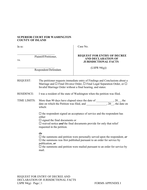# **SUPERIOR COURT FOR WASHINGTON COUNTY OF ISLAND**

In re:

Case No.

 $\mathcal{L}_\text{max}$  , where  $\mathcal{L}_\text{max}$  and  $\mathcal{L}_\text{max}$ 

vs.

# **REQUEST FOR ENTRY OF DECREE AND DECLARATION OF JURISDICTIONAL FACTS**

\_\_\_\_\_\_\_\_\_\_\_\_\_\_\_\_\_\_\_\_\_\_\_\_\_\_ Respondent/Defendant.

# (LSPR 94(g))

REQUEST: The petitioner requests immediate entry of Findings and Conclusions about a Marriage and  $\Box$  Final Divorce Order,  $\Box$  Final Legal Separation Order, or  $\Box$ Invalid Marriage Order without a final hearing, and states:

 $\overline{\phantom{a}}$ 

# RESIDENCE: I was a resident of the state of Washington when the petition was filed.

TIME LIMITS: More than 90 days have elapsed since the date of \_\_\_\_\_\_\_\_\_\_, 20\_, the date on which the Petition was filed, and \_\_\_\_\_\_\_\_\_\_\_\_\_, 20\_, the date on which:

> $\Box$  the respondent signed an acceptance of service and the respondent has either

 $\square$  signed the final documents or

 $\square$  waived notice *and* the final documents provide for only that relief requested in the petition.

# *Or*

 $\Box$  the summons and petition were personally served upon the respondent, *or*  $\Box$  the summons was first published pursuant to an order for service by publication, *or*

 $\Box$  the summons and petition were mailed pursuant to an order for service by mail.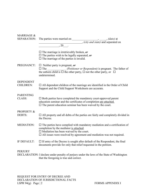# MARRIAGE &

|                                      | SEPARATION: The parties were married on ______________________, (date) at                                                                                                                                                                                     |                                          |
|--------------------------------------|---------------------------------------------------------------------------------------------------------------------------------------------------------------------------------------------------------------------------------------------------------------|------------------------------------------|
|                                      |                                                                                                                                                                                                                                                               | <i>(city and state)</i> and separated on |
|                                      | $\overbrace{\phantom{aaaaa}}^{20}$ .                                                                                                                                                                                                                          |                                          |
|                                      | $\Box$ The marriage is irretrievably broken, or<br>$\Box$ The parties wish to be legally separated, or<br>$\Box$ The marriage of the parties is invalid.                                                                                                      |                                          |
| PREGNANCY:                           | $\Box$ Neither party is pregnant, or<br>$\Box$ The <i>(Petitioner or Respondent)</i> is pregnant. The father of<br>the unborn child is $\Box$ the other party, $\Box$ not the other party, or $\Box$<br>undetermined.                                         |                                          |
| <b>DEPENDENT</b><br><b>CHILDREN:</b> | $\Box$ All dependent children of the marriage are identified in the Order of Child<br>Support and the Child Support Worksheets are accurate.                                                                                                                  |                                          |
| <b>PARENTING</b><br>CLASS:           | $\square$ Both parties have completed the mandatory court-approved parent<br>education seminar and the certificates of completion are attached.<br>$\square$ The parent education seminar has been waived by the court.                                       |                                          |
| PROPERTY &<br>DEBTS:                 | $\Box$ All property and all debts of the parties are fairly and completely divided in<br>the Decree.                                                                                                                                                          |                                          |
| <b>MEDIATION:</b>                    | $\Box$ The parties have complied with mandatory mediation and a certification of<br>completion by the mediator is attached.<br>$\Box$ Mediation has been waived by the court.<br>$\Box$ All issues were resolved by agreement and mediation was not required. |                                          |
| IF DEFAULT:                          | $\Box$ If entry of the Decree is sought after default of the Respondent, the final<br>documents provide for only that relief requested in the petition.                                                                                                       |                                          |
| <b>PERJURY</b>                       |                                                                                                                                                                                                                                                               |                                          |

DECLARATION: I declare under penalty of perjury under the laws of the State of Washington that the foregoing is true and correct.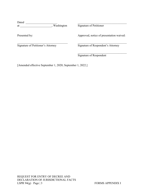Dated  $\Box$ at \_\_\_\_\_\_\_\_\_\_\_\_\_\_\_\_\_\_\_\_\_\_, Washington Signature of Petitioner

Presented by: Approved, notice of presentation waived:

\_\_\_\_\_\_\_\_\_\_\_\_\_\_\_\_\_\_\_\_\_\_\_\_\_\_\_\_\_\_\_\_\_\_\_ \_\_\_\_\_\_\_\_\_\_\_\_\_\_\_\_\_\_\_\_\_\_\_\_\_\_\_\_\_\_\_\_\_\_ Signature of Petitioner's Attorney Signature of Respondent's Attorney

Signature of Respondent

[Amended effective September 1, 2020; September 1, 2022.]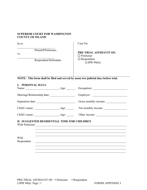# **SUPERIOR COURT FOR WASHINGTON COUNTY OF ISLAND**

In re:

\_\_\_\_\_\_\_\_\_\_\_\_\_\_\_\_\_\_\_\_\_\_\_\_\_\_ Plaintiff/Petitioner,

\_\_\_\_\_\_\_\_\_\_\_\_\_\_\_\_\_\_\_\_\_\_\_\_\_\_

vs.

Respondent/Defendant.

Case No.

**PRE-TRIAL AFFIDAVIT OF:** □ Petitioner □ Respondent  $(LSPR 94(h))$ 

**NOTE: This form shall be filed and served by noon two judicial days before trial.**

| I. PERSONAL DATA   |                                             |                       |
|--------------------|---------------------------------------------|-----------------------|
|                    | Marriage/Relationship date:                 | Employer:             |
|                    | Separation date:                            | Gross monthly income: |
|                    |                                             |                       |
|                    |                                             | Other income:         |
|                    | II. SUGGESTED RESIDENTIAL TIME FOR CHILDREN | With Petitioner       |
| With<br>Respondent |                                             |                       |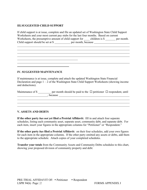# **III.SUGGESTED CHILD SUPPORT**

If child support is at issue, complete and file an updated set of Washington State Child Support Worksheets and your most current pay stubs for the last four months. Based on current Worksheets, the presumptive amount of child support for \_\_\_\_\_ children is \$ \_\_\_\_\_\_\_ per month. Child support should be set at \$ \_\_\_\_\_\_\_\_\_\_\_ per month, because

<u> 1980 - Johann Barn, mars ann an t-Amhain Aonaich an t-Aonaich an t-Aonaich an t-Aonaich an t-Aonaich an t-Aon</u>

# **IV. SUGGESTED MAINTENANCE**

If maintenance is at issue, complete and attach the updated Washington State Financial Declaration and page  $1 - 2$  of the Washington State Child Support Worksheets (showing income and deductions).

Maintenance of \$  $\overline{\phantom{a}}$ , because

\_\_\_\_\_\_\_\_\_\_\_\_\_\_\_\_\_\_\_\_\_\_\_\_\_\_\_\_\_\_\_\_\_\_\_\_\_\_\_\_\_\_\_\_\_\_\_\_\_\_\_\_\_\_\_\_\_\_\_\_\_\_\_\_\_\_\_\_\_\_\_\_\_\_\_\_\_\_

\_\_\_\_\_\_\_\_\_\_\_\_\_\_\_\_\_\_\_\_\_\_\_\_\_\_\_\_\_\_\_\_\_\_\_\_\_\_\_\_\_\_\_\_\_\_\_\_\_\_\_\_\_\_\_\_\_\_\_\_\_\_\_\_\_\_\_\_\_\_\_\_\_\_\_\_\_\_

# **V. ASSETS AND DEBTS**

**If the other party** *has not* **yet filed a Pretrial Affidavit:** fill in and attach four separate schedules, listing each community asset, separate asset, community debt, and separate debt. For each item, insert your figures in the appropriate columns for "Petitioner" or "Respondent."

**If the other party** *has* **filed a Pretrial Affidavit:** on their four schedules, add your own figures for each item in the appropriate columns. If the other party omitted any assets or debts, add them to the appropriate schedule. Attach copies of your completed schedules.

**Transfer your totals** from the Community Assets and Community Debts schedules to this chart, showing your proposed division of community property and debt: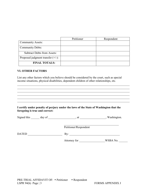|                                      | Petitioner | Respondent |
|--------------------------------------|------------|------------|
| <b>Community Assets:</b>             |            |            |
| <b>Community Debts:</b>              |            |            |
| <b>Subtract Debts from Assets:</b>   |            |            |
| Proposed judgment transfer $(+/-)$ : |            |            |
| <b>FINAL TOTALS:</b>                 |            |            |

# **VI. OTHER FACTORS**

List any other factors which you believe should be considered by the court, such as special income situations, physical disabilities, dependent children of other relationships, etc.

\_\_\_\_\_\_\_\_\_\_\_\_\_\_\_\_\_\_\_\_\_\_\_\_\_\_\_\_\_\_\_\_\_\_\_\_\_\_\_\_\_\_\_\_\_\_\_\_\_\_\_\_\_\_\_\_\_\_\_\_\_\_\_\_\_\_\_\_\_\_\_\_\_\_\_\_\_\_

\_\_\_\_\_\_\_\_\_\_\_\_\_\_\_\_\_\_\_\_\_\_\_\_\_\_\_\_\_\_\_\_\_\_\_\_\_\_\_\_\_\_\_\_\_\_\_\_\_\_\_\_\_\_\_\_\_\_\_\_\_\_\_\_\_\_\_\_\_\_\_\_\_\_\_\_\_\_

\_\_\_\_\_\_\_\_\_\_\_\_\_\_\_\_\_\_\_\_\_\_\_\_\_\_\_\_\_\_\_\_\_\_\_\_\_\_\_\_\_\_\_\_\_\_\_\_\_\_\_\_\_\_\_\_\_\_\_\_\_\_\_\_\_\_\_\_\_\_\_\_\_\_\_\_\_\_

# **I certify under penalty of perjury under the laws of the State of Washington that the foregoing is true and correct:**

| Signed this<br>day of | , at                  | Washington. |
|-----------------------|-----------------------|-------------|
|                       | Petitioner/Respondent |             |
| <b>DATED</b>          | Bv:                   |             |

Attorney for WSBA No.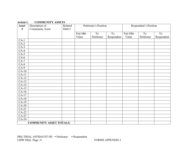| <b>Asset</b><br>$\#$ | Description of<br><b>Community Asset</b> | Related<br>Debt # | Petitioner's Position |            |            | Respondent's Position |            |            |
|----------------------|------------------------------------------|-------------------|-----------------------|------------|------------|-----------------------|------------|------------|
|                      |                                          |                   | Fair Mkt              | To         | To         | Fair Mkt              | To         | To         |
|                      |                                          |                   | Value                 | Petitioner | Respondent | Value                 | Petitioner | Respondent |
| $CA-1$               |                                          |                   |                       |            |            |                       |            |            |
| $CA-2$               |                                          |                   |                       |            |            |                       |            |            |
| $CA-3$               |                                          |                   |                       |            |            |                       |            |            |
| $CA-4$               |                                          |                   |                       |            |            |                       |            |            |
| $CA-5$               |                                          |                   |                       |            |            |                       |            |            |
| $CA-6$               |                                          |                   |                       |            |            |                       |            |            |
| $CA-7$               |                                          |                   |                       |            |            |                       |            |            |
| $CA-8$               |                                          |                   |                       |            |            |                       |            |            |
| $CA-9$               |                                          |                   |                       |            |            |                       |            |            |
| $CA-10$              |                                          |                   |                       |            |            |                       |            |            |
| $CA-11$              |                                          |                   |                       |            |            |                       |            |            |
| $CA-12$              |                                          |                   |                       |            |            |                       |            |            |
| $CA-13$              |                                          |                   |                       |            |            |                       |            |            |
| $CA-14$              |                                          |                   |                       |            |            |                       |            |            |
| $CA-15$              |                                          |                   |                       |            |            |                       |            |            |
| $CA-16$              |                                          |                   |                       |            |            |                       |            |            |
| $CA-17$              |                                          |                   |                       |            |            |                       |            |            |
| $CA-18$              |                                          |                   |                       |            |            |                       |            |            |
| $CA-19$              |                                          |                   |                       |            |            |                       |            |            |
| $CA-20$              |                                          |                   |                       |            |            |                       |            |            |
| $CA-21$              |                                          |                   |                       |            |            |                       |            |            |
| $CA-22$              |                                          |                   |                       |            |            |                       |            |            |
| $CA-23$              |                                          |                   |                       |            |            |                       |            |            |
| $CA-24$              |                                          |                   |                       |            |            |                       |            |            |
|                      | <b>COMMUNITY ASSET TOTALS:</b>           |                   |                       |            |            |                       |            |            |

**Article I. COMMUNITY ASSETS**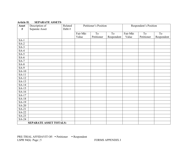| <b>Asset</b><br>$\#$ | Description of<br>Separate Asset | Related<br>Debt # | Petitioner's Position |            |            | Respondent's Position |            |            |
|----------------------|----------------------------------|-------------------|-----------------------|------------|------------|-----------------------|------------|------------|
|                      |                                  |                   | Fair Mkt              | To         | To         | Fair Mkt              | To         | To         |
|                      |                                  |                   | Value                 | Petitioner | Respondent | Value                 | Petitioner | Respondent |
| $SA-1$               |                                  |                   |                       |            |            |                       |            |            |
| $SA-2$               |                                  |                   |                       |            |            |                       |            |            |
| $SA-3$               |                                  |                   |                       |            |            |                       |            |            |
| $SA-4$               |                                  |                   |                       |            |            |                       |            |            |
| $SA-5$               |                                  |                   |                       |            |            |                       |            |            |
| $SA-6$               |                                  |                   |                       |            |            |                       |            |            |
| $SA-7$               |                                  |                   |                       |            |            |                       |            |            |
| $SA-8$               |                                  |                   |                       |            |            |                       |            |            |
| $SA-9$               |                                  |                   |                       |            |            |                       |            |            |
| $SA-10$              |                                  |                   |                       |            |            |                       |            |            |
| $SA-11$              |                                  |                   |                       |            |            |                       |            |            |
| $SA-12$              |                                  |                   |                       |            |            |                       |            |            |
| $SA-13$              |                                  |                   |                       |            |            |                       |            |            |
| $SA-14$              |                                  |                   |                       |            |            |                       |            |            |
| $SA-15$              |                                  |                   |                       |            |            |                       |            |            |
| $SA-16$              |                                  |                   |                       |            |            |                       |            |            |
| $SA-17$              |                                  |                   |                       |            |            |                       |            |            |
| <b>SA-18</b>         |                                  |                   |                       |            |            |                       |            |            |
| $SA-19$              |                                  |                   |                       |            |            |                       |            |            |
| $SA-20$              |                                  |                   |                       |            |            |                       |            |            |
| $SA-21$              |                                  |                   |                       |            |            |                       |            |            |
| $SA-22$              |                                  |                   |                       |            |            |                       |            |            |
| $SA-23$              |                                  |                   |                       |            |            |                       |            |            |
| $SA-24$              |                                  |                   |                       |            |            |                       |            |            |
|                      | <b>SEPARATE ASSET TOTALS:</b>    |                   |                       |            |            |                       |            |            |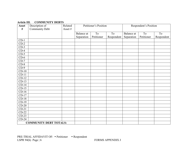# **Article III. COMMUNITY DEBTS**

| <b>Asset</b><br>$\#$ | Description of<br><b>Community Debt</b> | Related<br>Asset # | Petitioner's Position |            | Respondent's Position |            |            |            |
|----------------------|-----------------------------------------|--------------------|-----------------------|------------|-----------------------|------------|------------|------------|
|                      |                                         |                    | Balance at            | To         | To                    | Balance at | To         | To         |
|                      |                                         |                    | Separation            | Petitioner | Respondent            | Separation | Petitioner | Respondent |
| $CD-1$               |                                         |                    |                       |            |                       |            |            |            |
| $CD-2$               |                                         |                    |                       |            |                       |            |            |            |
| $CD-3$               |                                         |                    |                       |            |                       |            |            |            |
| $CD-4$               |                                         |                    |                       |            |                       |            |            |            |
| $CD-5$               |                                         |                    |                       |            |                       |            |            |            |
| $CD-6$               |                                         |                    |                       |            |                       |            |            |            |
| $CD-7$               |                                         |                    |                       |            |                       |            |            |            |
| $CD-8$               |                                         |                    |                       |            |                       |            |            |            |
| $CD-9$               |                                         |                    |                       |            |                       |            |            |            |
| $CD-10$              |                                         |                    |                       |            |                       |            |            |            |
| $CD-11$              |                                         |                    |                       |            |                       |            |            |            |
| $CD-12$              |                                         |                    |                       |            |                       |            |            |            |
| $CD-13$              |                                         |                    |                       |            |                       |            |            |            |
| $CD-14$              |                                         |                    |                       |            |                       |            |            |            |
| $CD-15$              |                                         |                    |                       |            |                       |            |            |            |
| $CD-16$              |                                         |                    |                       |            |                       |            |            |            |
| $CD-17$              |                                         |                    |                       |            |                       |            |            |            |
| $CD-18$              |                                         |                    |                       |            |                       |            |            |            |
| $CD-19$              |                                         |                    |                       |            |                       |            |            |            |
| $CD-20$              |                                         |                    |                       |            |                       |            |            |            |
| $CD-21$              |                                         |                    |                       |            |                       |            |            |            |
| $CD-22$              |                                         |                    |                       |            |                       |            |            |            |
| $CD-23$              |                                         |                    |                       |            |                       |            |            |            |
| $CD-24$              |                                         |                    |                       |            |                       |            |            |            |
|                      | <b>COMMUNITY DEBT TOTALS:</b>           |                    |                       |            |                       |            |            |            |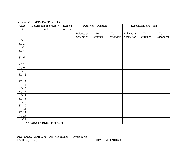| <b>Asset</b><br>$\#$         | Description of Separate<br>Debt | Related<br>Asset # | Petitioner's Position |            |            | Respondent's Position |            |            |
|------------------------------|---------------------------------|--------------------|-----------------------|------------|------------|-----------------------|------------|------------|
|                              |                                 |                    | Balance at            | To         | To         | Balance at            | To         | To         |
|                              |                                 |                    | Separation            | Petitioner | Respondent | Separation            | Petitioner | Respondent |
| $SD-1$                       |                                 |                    |                       |            |            |                       |            |            |
| $SD-2$                       |                                 |                    |                       |            |            |                       |            |            |
| $SD-3$                       |                                 |                    |                       |            |            |                       |            |            |
| $SD-4$                       |                                 |                    |                       |            |            |                       |            |            |
| $SD-5$                       |                                 |                    |                       |            |            |                       |            |            |
| $SD-6$                       |                                 |                    |                       |            |            |                       |            |            |
| $SD-7$                       |                                 |                    |                       |            |            |                       |            |            |
| $SD-8$                       |                                 |                    |                       |            |            |                       |            |            |
| $SD-9$                       |                                 |                    |                       |            |            |                       |            |            |
| $SD-10$                      |                                 |                    |                       |            |            |                       |            |            |
| $SD-11$                      |                                 |                    |                       |            |            |                       |            |            |
| $SD-12$                      |                                 |                    |                       |            |            |                       |            |            |
| $SD-13$                      |                                 |                    |                       |            |            |                       |            |            |
| $SD-14$                      |                                 |                    |                       |            |            |                       |            |            |
| $SD-15$                      |                                 |                    |                       |            |            |                       |            |            |
| $SD-16$                      |                                 |                    |                       |            |            |                       |            |            |
| $SD-17$                      |                                 |                    |                       |            |            |                       |            |            |
| $SD-18$                      |                                 |                    |                       |            |            |                       |            |            |
| SD-19                        |                                 |                    |                       |            |            |                       |            |            |
| $SD-20$                      |                                 |                    |                       |            |            |                       |            |            |
| $SD-21$                      |                                 |                    |                       |            |            |                       |            |            |
| $SD-22$                      |                                 |                    |                       |            |            |                       |            |            |
| $SD-23$                      |                                 |                    |                       |            |            |                       |            |            |
| $SD-24$                      |                                 |                    |                       |            |            |                       |            |            |
| <b>SEPARATE DEBT TOTALS:</b> |                                 |                    |                       |            |            |                       |            |            |

# **Article IV. SEPARATE DEBTS**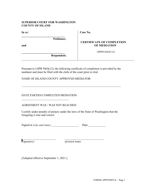# **SUPERIOR COURT FOR WASHINGTON COUNTY OF ISLAND**

**In re:**

**\_\_\_\_\_\_\_\_\_\_\_\_\_\_\_\_\_\_\_\_\_\_\_\_\_\_\_\_\_\_ Petitioner,**

**and**

 **OF MEDIATION** (SPR94.04(f)(12))

 **CERTIFICATE OF COMPLETION** 

**\_\_\_\_\_\_\_\_\_\_\_\_\_\_\_\_\_\_\_\_\_\_\_\_\_\_\_\_\_\_ Respondent.**

Pursuant to LSPR 94(f)(12), the following certificate of completion is provided by the mediator and must be filed with the clerk of the court prior to trial.

\_\_\_\_\_\_\_\_\_\_\_\_\_\_\_\_\_\_\_\_\_\_\_\_\_\_\_\_\_\_\_\_\_\_\_\_\_\_\_\_\_\_\_\_\_\_\_\_\_\_\_\_\_\_\_\_\_\_\_\_\_\_\_\_\_\_\_\_\_

 **Case No.**

NAME OF ISLAND COUNTY APPROVED MEDIATOR:

DATE PARTIES COMPLETED MEDIATION:

AGREEMENT WAS / WAS NOT REACHED.

I certify under penalty of perjury under the laws of the State of Washington that the foregoing is true and correct.

Signed at *(city and state):*\_\_\_\_\_\_\_\_\_\_\_\_\_\_\_\_\_\_\_ Date:\_\_\_\_\_\_\_\_\_\_\_\_

 $\mathcal{L}_\mathcal{L}$ 

*(signature) (printed name* 

[Adopted effective September 1, 2021.]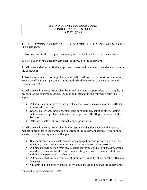# ISLAND COUNTY SUPERIOR COURT CONDUCT AND DRESS CODE LCR  $77(b)(1)(A)$

# THE FOLLOWING CONDUCT AND DRESS CODE SHALL APPLY WHEN COURT IS IN SESSION:

1. No firearms or other weapons, including knives, shall be allowed in the courtroom.

2. No food or drinks, except water, shall be allowed in the courtroom.

3. All persons shall turn off all cell phones, pagers, and other electronic devices when in the courtroom.

4. No audio or video recording of any kind shall be allowed in the courtroom or online, except by official court personnel, unless authorized by the court, in accordance with General Rule 16.

5. All persons in the courtroom shall be attired in a manner appropriate to the dignity and decorum of the courtroom setting. As minimum standards, the following rules shall apply:

- All adults and minors over the age of six shall wear shoes and clothing sufficient to cover their torsos.
- Shorts, halter-tops, tank tops, hats, caps, torn clothing, shirts or other clothing with obscene or profane pictures or messages, and "flip-flop" footwear, shall not be worn.
- Attorneys shall wear professionally appropriate attire.

6. All persons in the courtroom shall in their speech and actions conduct themselves in a manner appropriate to the dignity and decorum of the courtroom setting. As minimum standards, the following rules shall apply:

- Spectators and persons not then actively engaged in court proceedings shall be quiet; any speech which does occur shall be as unobtrusive as possible.
- All persons shall refrain from any gestures and from conduct or behavior, which manifests disrespect for the court, counsel, litigants, witnesses, court staff, law enforcement personnel, or other persons.
- All persons shall refrain from use of gratuitous profanity, slurs, or other offensive language.
- Children shall be closely controlled by adults inside and outside the courtrooms.

Amended effective September 1, 2020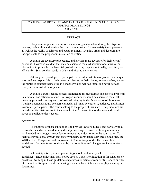## COURTROOM DECORUM AND PRACTICE GUIDELINES AT TRIALS & JUDICIAL PROCEEDINGS LCR  $77(b)(1)(B)$

## **PREFACE**

The pursuit of justice is a serious undertaking and conduct during the litigation process, both within and outside the courtroom, must at all times satisfy the appearance as well as the reality of fairness and equal treatment. Dignity, order and decorum are indispensable to the proper administration of justice.

A trial is an adversary proceeding, and lawyers must advocate for their clients' positions. However, conduct that may be characterized as discriminatory, abusive, or obstructive impedes the fundamental goal of resolving disputes rationally, peacefully and efficiently. Such conduct tends to delay and often to deny justice.

Attorneys are privileged to participate in the administration of justice in a unique way, and are responsible to their own consciences, to their clients, to one another, and to the public to conduct themselves in a manner which will facilitate, and never detract from, the administration of justice.

A trial is a truth-seeking process designed to resolve human and societal problems in a rational and efficient manner. A lawyer's conduct should be characterized at all times by personal courtesy and professional integrity in the fullest sense of those terms. A judge's conduct should be characterized at all times by courtesy, patience, and fairness toward all participants. The courts belong to the people of this state. The guidelines are intended to facilitate access to the courts for the fair resolution of disputes and should never be applied to deny access.

#### *Application*

The purpose of these guidelines is to provide lawyers, judges, and parties with a reasonable standard of conduct in judicial proceedings. However, these guidelines are not intended to homogenize conduct or remove individuality from the courtroom. To facilitate professional growth and foster voluntary compliance with these guidelines, the WSBA Court Congestion and Improvement Committee periodically review these guidelines. Comments are considered by the committee and changes are incorporated as needed.

All participants in judicial proceedings should voluntarily adhere to these guidelines. These guidelines shall not be used as a basis for litigation or for sanctions or penalties. Nothing in these guidelines supersedes or detracts from existing codes or rules of conduct or discipline or alters existing standards by which lawyer negligence may be determined.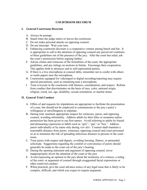# **COURTROOM DECORUM**

## **I. General Courtroom Decorum**

- A. Always be prompt.
- B. Stand when the judge enters or leaves the courtroom.
- C. Do not make personal attacks on opposing counsel.
- D. Do not interrupt. Wait your turn.
- E. Enhancing courtroom decorum is a cooperative venture among bench and bar. It is appropriate to call to the attention of opposing counsel any perceived violations of these guidelines out of the presence of the jury. After the court has ruled, ask the court's permission before arguing further.
- F. Advise clients and witnesses of the formalities of the court, the appropriate guidelines, and any rulings on motions in limine. Encourage their cooperation. This applies both to attorneys and to self-represented parties.
- G. If there is a live microphone at counsel table, remember not to confer with others or rustle papers near the microphone.
- H. Courtrooms equipped for videotaped or digital recording/reporting may require special precautions, such as remaining near a microphone.
- I. Treat everyone in the courtroom with fairness, consideration, and respect. Refrain from conduct that discriminates on the basis of race, color, national origin, religion, creed, sex, age, disability, sexual orientation, or marital status.

# **II. General Trial Conduct**

- A. Offers of and requests for stipulations are appropriate to facilitate the presentation of a case, but should not be employed to communicate to the jury a party's willingness or unwillingness to stipulate.
- B. During trial, maintain appropriate respect for witnesses, jurors, and opposing counsel, avoiding informality. Address adults by their titles or surnames unless permission has been given to use first names. Avoid referring to adults by biased and demeaning expression or labels such as "girl,", "gal," or "boy." Address jurors individually or by name only during *voir dire*. Counsel shall maintain a reasonable distance from jurors, witnesses, opposing counsel and court personnel so as to minimize the risk of spreading infectious diseases to persons in the court room.
- C. Treat jurors with respect and dignity, avoiding fawning, flattery, or pretended solicitude. Suggestions regarding the comfort or convenience of jurors should generally be made to the court out of the jury's hearing.
- D. During the opening statement and argument of opposing counsel, never inappropriately divert the attention of the court or the jury.
- E. Avoid expressing an opinion to the jury about the testimony of a witness, a ruling of the court, or argument of counsel through exaggerated facial expressions or other contrived conduct.
- F. When practical, give the court advance notice of any legal issue that is likely to be complex, difficult, and which you expect to require argument.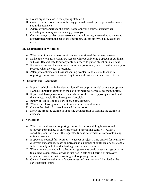- G. Do not argue the case in the opening statement.
- H. Counsel should not express to the jury personal knowledge or personal opinions about the evidence.
- I. Address your remarks to the court, not to opposing counsel except when extending necessary courtesies, e.g., thank you.
- J. Only attorneys, parties, court personnel, and witnesses, when called to the stand, are permitted within the bar of the courtroom, unless otherwise allowed by the court.

## **III. Examination of Witnesses**

- A. When examining a witness, avoid undue repetition of the witness' answer.
- B. Make objections for evidentiary reasons without delivering a speech or guiding a witness. Recapitulate testimony only as needed to put an objection in context.
- C. If a witness was on the stand at a recess or adjournment, have the witness ready to proceed when the court is resumed.
- D. Attempt to anticipate witness scheduling problems and discuss them with opposing counsel and the court. Try to schedule witnesses in advance of trial.

## **IV. Exhibits and Documents**

- A. Premark exhibits with the clerk for identification prior to trial where appropriate. Hand all unmarked exhibits to the clerk for marking before using them in trial.
- B. If practical, have photocopies of an exhibit for the court, opposing counsel, and the witness. Avoid illegible copies if possible.
- C. Return all exhibits to the clerk at each adjournment.
- D. Whenever referring to an exhibit, mention the exhibit number.
- E. Give to the clerk all papers intended for the court.
- F. Show the proposed exhibit to opposing counsel prior to offering the exhibit in evidence.

# **V. Scheduling**

- A. When practical, consult opposing counsel before scheduling hearings and discovery appearances in an effort to avoid scheduling conflicts. Assert a scheduling conflict only if the requested time is not available, not to obtain any unfair advantage.
- B. If opposing counsel fails promptly to accept or reject a time offered for hearing or discovery appearance, raises an unreasonable number of conflicts, or consistently fails to comply with this standard, agreement is not required.
- C. Where time associated with scheduling agreements could cause damage or harm to a client's case, then a lawyer is justified in setting a hearing or discovery appearance without first consulting with opposing counsel.
- D. Give notice of cancellation of appearances and hearings to all involved at the earliest possible time.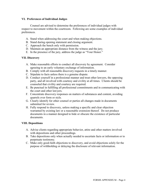## **VI. Preferences of Individual Judges**

Counsel are advised to determine the preferences of individual judges with respect to movement within the courtroom. Following are some examples of individual preferences.

- A. Stand when addressing the court and when making objections.
- B. Stand during opening statement and closing argument.
- C. Approach the bench only with permission.
- D. Maintain an appropriate distance from the witness and the jury.
- E. In the presence of the jury, address the judge as "Your Honor."

## **VII. Discovery**

- A. Make reasonable efforts to conduct all discovery by agreement. Consider agreeing to an early voluntary exchange of information.
- B. Comply with all reasonable discovery requests in a timely manner.
- C. Stipulate to facts unless there is a genuine dispute.
- D. Conduct yourself in a professional manner and treat other lawyers, the opposing party, and all involved with courtesy and civility at all times. Clients should be counseled that civility and courtesy are required.
- E. Be punctual in fulfilling all professional commitments and in communicating with the court and other lawyers.
- F. Concentrate discovery responses on matters of substances and content, avoiding quarrels over form or style.
- G. Clearly identify for other counsel or parties all changes made in documents submitted for review.
- H. Fully respond to discovery, unless making a specific and clear objection warranted by existing law or a reasonable extension thereof. Do not produce documents in a manner designed to hide or obscure the existence of particular documents.

## **VIII. Depositions**

- A. Advise clients regarding appropriate behavior, attire and other matters involved with depositions and other proceedings.
- B. Take depositions only when actually needed to ascertain facts or information or to perpetuate testimony.
- C. Make only good-faith objections to discovery, and avoid objections solely for the purpose of withholding or delaying the disclosure of relevant information.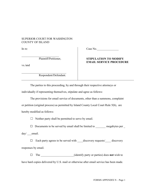## SUPERIOR COURT FOR WASHINGTON COUNTY OF ISLAND

\_\_\_\_\_\_\_\_\_\_\_\_\_\_\_\_\_\_\_\_\_\_\_\_\_\_

 $\mathcal{L}_\mathcal{L}$ 

In re:

Plaintiff/Petitioner,

vs./and

Respondent/Defendant.

Case No.

# **STIPULATION TO MODIFY EMAIL SERVICE PROCEDURE**

The parties to this proceeding, by and through their respective attorneys or

individually if representing themselves, stipulate and agree as follows:

The provisions for email service of documents, other than a summons, complaint

or petition (original process) as permitted by Island County Local Court Rule 5(b), are hereby modified as follows:

 $\Box$  Neither party shall be permitted to serve by email.

 $\Box$  Documents to be served by email shall be limited to megabytes per

day/ email.

□ Each party agrees to be served with discovery requests/ discovery responses by email.

☐ The \_\_\_\_\_\_\_\_\_\_\_\_\_\_\_\_\_\_\_\_\_\_\_(identify party or parties) does **not** wish to have hard copies delivered by U.S. mail or otherwise after email service has been made.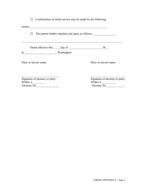| Confirmation of email service may be made by the following<br>$\mathsf{L}$ |  |                                                             |
|----------------------------------------------------------------------------|--|-------------------------------------------------------------|
| means:                                                                     |  |                                                             |
|                                                                            |  | The parties further stipulate and agree as follows:         |
|                                                                            |  |                                                             |
| Washington<br>at                                                           |  |                                                             |
| Party or lawyer name                                                       |  | Party or lawyer name                                        |
| Signature of attorney or party<br>$WSBA \#$<br>Attorney for                |  | Signature of attorney or party<br>$WSBA \#$<br>Attorney for |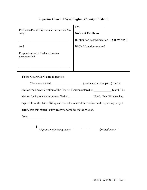# **Superior Court of Washington, County of Island**

| Petitioner/Plaintiff (person/s who started this<br>case):<br>And<br>Respondent(s)/Defendant(s) (other<br><i>party/parties)</i> :                                                                                                     | $\text{No.}$<br><b>Notice of Readiness</b><br>(Motion for Reconsideration - LCR $59(b)(5)$ )<br>☑ Clerk's action required |
|--------------------------------------------------------------------------------------------------------------------------------------------------------------------------------------------------------------------------------------|---------------------------------------------------------------------------------------------------------------------------|
| To the Court Clerk and all parties:                                                                                                                                                                                                  |                                                                                                                           |
|                                                                                                                                                                                                                                      | The above named (designate moving party) filed a                                                                          |
| Motion for Reconsideration of the Court's decision entered on _____________ (date). The                                                                                                                                              |                                                                                                                           |
| Motion for Reconsideration was filed on (date). Ten (10) days has<br>expired from the date of filing and date of service of the motion on the opposing party. I<br>certify that this matter is now ready for a ruling on the Motion. |                                                                                                                           |
| Date:                                                                                                                                                                                                                                |                                                                                                                           |

*(signature of moving party) (printed name* 

 $\blacktriangleright$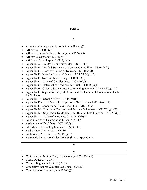**INDEX**

- A • Administrative Appeals, Records in - LCR  $43(c)(2)$ • Affidavits – LCR  $6(d)$ • Affidavits, Judge's Copies for Judge - LCR  $5(e)(3)$ • Affidavits, Opposing- LCR  $6(d)(1)$ • Affidavits, Strict Reply - LCR  $6(d)(1)$ • Appendix A - Court's Temporary Order - LSPR 94(b) • Appendix B - Verified Statement of Assets and Liabilities - LSPR 94(d) • Appendix C – Proof of Mailing or Delivery – LSPR 94(d) • Appendix D - Note for Motion Calendar - LCR 77  $(k)(1)(A)$ • Appendix E - Note for Trial Setting - LCR  $40(b)(1)$ • Appendix  $F$  - Notice of Conflict Dates - LCR 40(b)(1) • Appendix G - Statement of Readiness for Trial - LCR  $16(c)(4)$ • Appendix H - Order to Show Cause Re: Parenting Seminar - LSPR 94(e)(5)(D) • Appendix I - Request for Entry of Decree and Declaration of Jurisdictional Facts – LSPR  $94(g)$ • Appendix J - Pretrial Affidavit - LSPR 94(h) • Appendix K – Certificate of Completion of Mediation – LSPR  $94(e)(12)$ • Appendix L – Conduct and Dress Code - LCR  $77(b)(1)(A)$ • Appendix M - Courtroom Decorum and Practice Guidelines - LCR  $77(b)(1)(B)$ • Appendix N - Stipulation To Modify Local Rule re: Email Service - LCR 5(b)(6) • Appendix O – Notice of Readiness  $0 - LCR$  59(b)(5)
- Appointments of Guardians ad Litem GALR 5
- Assignment of Trial Date LCR  $40(b)(1)$
- Attendance at Parenting Seminars LSPR 94(e)
- Audio Tape, Transcripts LCR 80
- Authority of Mediator LSPR  $94(f)(10)$
- Automatic Temporary Order LSPR 94(b) and Appendix A

#### B

# $\mathcal{C}$

- Civil Law and Motion Day, Island County LCR  $77(k)(1)$
- Clerk, Duties of LCR 79
- Clerk, Filing with LCR  $5(d)$  & (e)
- Complaints against Guardians ad Litem GALR 7
- Completion of Discovery LCR  $16(c)(3)$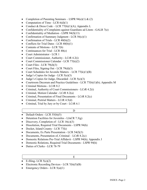- Completion of Parenting Seminars LSPR 94(e)(1) & (2)
- Computation of Time LCR  $6(d)(1)$
- Conduct & Dress Code LCR 77(b)(1)(A); Appendix L
- Confidentiality of Complaints against Guardians ad Litem GALR  $7(e)$
- Confidentiality of Mediation LSPR 94(f)(13)
- Confirmation of Summary Judgment LCR  $56(c)(1)$
- Confirmation of Trials LCR 40(b)(2)
- Conflicts for Trial Dates LCR 40(b)(1)
- Contents of Motions LCR 7(b)
- Continuances for Trial LCR 40(e)
- Court Administrator LCR 1
- Court Commissioner, Authority LCrR 4.2(i)
- Court Commissioner Calendar LCR 77(k)(2)
- Court Files LCR  $79(d)(3)$
- Court Files, Signing Out LCR 79(d)(3)
- Court Schedules for Juvenile Matters LCR  $77(k)(1)(B)$
- Judge's Copies for Judge LCR  $5(e)(3)$
- Judge's Copies for Judge, Discarded LCR 5(e)(3)
- Courtroom Decorum and Practice Guidelines LCR 77(b)(1)(b); Appendix M
- Criminal Motions LCrR 8.2
- Criminal, Authority of Court Commissioners LCrR 4.2(i)
- Criminal, Motion Calendar LCrR 8.2(a)
- Criminal, Presentation of Final Documents LCrR 8.2(c)
- Criminal, Pretrial Matters LCrR 4.5(d)
- Criminal, Trial by Jury or by Court LCrR 6.1

# D

- Default Orders LCR 55(b)(5)
- Detention Facilities for Juveniles LJuCR  $7.3(g)$
- Discovery, Completion of LCR  $16(c)(3)$
- Dissolution, Required Trial Documents LSPR 94(h)
- Docket, Island County LCR 77(k)
- Documents, Ex Parte Presentation LCR  $54(f)(3)$
- Documents, Presentation of, Criminal LCrR 8.2(c)
- Domestic Relations Pre-Trial Affidavit LSPR 94(h); Appendix J
- Domestic Relations, Required Trial Documents LSPR 94(h)
- Duties of Clerks LCR 78-79

#### E

- E-filing- LCR  $5(e)(2)$
- Electronic Recording Devices LCR  $7(b)(5)(B)$
- Emergency Orders LCR  $5(a)(1)$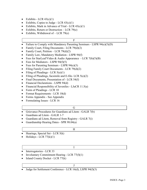- Exhibits LCR  $43(c)(1)$
- Exhibits, Copies to Judge LCR  $43(c)(1)$
- Exhibits, Mark in Advance of Trial LCR  $43(c)(1)$
- Exhibits, Return or Destruction LCR 79(e)
- Exhibits, Withdrawal of  $LCR$  79(e)

### F

- Failure to Comply with Mandatory Parenting Seminars LSPR 94(e)(5)(D)
- Family Court, Filing Documents LCR 79(d)(2)
- Family Court, Petition LCR 79(d)(2)
- Family Law, Mandatory Mediation LSPR 94(f)
- Fees for StarLeaf/Video & Audio Appearance LCR  $7(b)(5)(B)$
- Fees for Mediators LSPR  $94(f)(5)$
- Fees for Parenting Seminars LSPR 94(e)(3)
- Filing Family Court Documents LCR 79(d)(2)
- Filing of Pleadings LCR  $5(e)(1)$
- Filing of Pleadings, facsimile and E-file- LCR  $5(e)(2)$
- Final Documents, Presentation of LCR 54(f)
- Financial Declarations LSPR 94(d)
- Financial Responsibility of Juveniles LJuCR 11.5(a)
- Form of Pleadings LCR 10
- Format Requirements LCR 10(d)
- Forms Appendix See Appendix
- Formulating Issues LCR 16

## G

- Grievance Procedures for Guardians ad Litem GALR 7(b)
- Guardians ad Litem GALR 1-7
- Guardians ad Litem, Removal from Registry GALR 7(i)
- Guardianship Hearing Dates SPR 98.04(a)

## H

- Hearings, Special Set LCR  $5(k)$
- $Holidays$  LCR 77 $(k)(1)$

#### I

- Interrogatories LCR 33
- Involuntary Commitment Hearing LCR  $77(f)(1)$
- Island County Docket LCR 77(k)

# J

• Judge for Settlement Conference - LCR 16(d), LSPR 94(f)(3)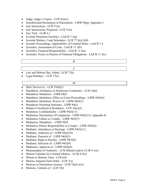- Judge, Judge's Copies LCR  $5(e)(3)$
- Jurisdictional Declaration in Dissolution LSPR 94(g); Appendix I
- Jury Instructions LCR  $51(a)$
- Jury Instructions, Proposed LCR 51(a)
- Jury Trial LCrR 6.1
- Juvenile Detention Facilities LJuCR  $7.3(g)$
- Juvenile Matters, Court Schedules LCR 77 (k)(1)(B)
- Juvenile Proceedings, Applicability of Criminal Rules LJuCR 1.4
- Juveniles, Assessment of Costs LJuCR 11.5(b)
- Juveniles, Financial Responsibility LJuCR 11.5(a)
- Juveniles, Notice to Parents of Financial Obligations LJuCR 11.5(c)

# K

- L
- Law and Motion Day, Island LCR  $77(k)$
- Legal Holidays LCR 77(e)

# M

- Mail, Service by LCR  $55(b)(5)$
- Mandatory Attendance at Settlement Conference LCR 16(d)
- Mandatory Mediation LSPR 94(f)
- Mandatory Mediation, Effect on Court Proceedings LSPR 94(f)(4)
- Mandatory Mediation, Waiver of LSPR 94(f)(2)
- Mandatory Parenting Seminars LSPR 94(e)
- Matters Considered at Readiness LCR  $16(c)(2)$
- Mediation, Confidentiality LSPR 94(f)(13)
- Mediation, Declaration of Completion LSPR 94(f)(12); Appendix K
- Mediation, Failure to Comply LSPR 94(f)(7)
- Mediation, Mandatory LSPR 94(f)
- Mediation, Parties Responsibility to Comply LSPR  $94(f)(6)$
- Mediator, Attendance at Hearings LSPR 94(f)(11)
- Mediator, Authority of LSPR  $94(f)(10)$
- Mediator, Payment of LSPR 94(f)(5)
- Mediator, Right to Decline LSPR  $94(f)(9)$
- Mediator, Selection of LSPR 94(f)(9)
- Mediators, Approval of LSPR  $94(f)(8)$
- Memorandum of Authority LCR  $40(a)(6)$  and/or LCrR  $6.1(a)$
- Motion Calendar for Criminal Matters LCrR 8.2(a)
- Motion to Shorten Time LCR 6(f)
- Motion, Separate from Order LCR 7(e)
- Motions in Dissolution Actions  $LCR77(k)(1)(A)$
- Motions, Contents of LCR  $7(b)$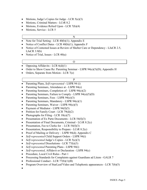- Motions, Judge's Copies for Judge LCR  $5(e)(3)$
- Motions, Criminal Matters LCrR 8.2
- Motions, Evidence Relied Upon LCR 7(b)(4)
- Motions, Service LCR 5

#### N

- Note for Trial Setting LCR 40(b)(1); Appendix E
- Notice of Conflict Dates LCR 40(b)(1); Appendix F
- Notice of Contested Issues at Review of Shelter Care or Dependency LJuCR 2.5, LJuCR  $3.9(b)$
- Notice of Trial, Issues LCR 40(a)

#### O

- Opposing Affidavits LCR  $6(d)(1)$
- Order to Show Cause Re: Parenting Seminar LSPR 94(e)(5)(D); Appendix H
- Orders, Separate from Motion LCR 7(e)

## P

- Parenting Plans, *Self-represented* LSPR 94 (i)
- Parenting Seminars, Attendance at LSPR 94(e)
- Parenting Seminars, Completion of LSPR 94(e)(2)
- Parenting Seminars, Failure to Comply LSPR  $94(e)(5)(D)$
- Parenting Seminars, Fees LSPR 94(e)(3)
- Parenting Seminars, Mandatory LSPR 94(e)(1)
- Parenting Seminars, Waiver LSPR 94(e)(5)
- Payment of Mediator LSPR  $94(f)(5)$
- Petition for Family Court LCR  $79(d)(2)$
- Photographs for Filing LCR  $10(e)(7)$
- Presentation of Ex Parte Documents LCR  $54(f)(3)$
- Presentation of Final Documents, Criminal LCrR 8.2(c)
- Presentation, Fee to Clerks for  $LCR$  54(f)(3)
- Presentation, Responsibility to Prepare LCrR 8.2(c)
- Proof of Mailing or Delivery LSPR 94(d); Appendix C
- *Self-represented* Child Support Orders LSPR 94(i)
- *Self-represented* Judge's Copies LCR 5(e)(3)
- *Self-represented* Dissolutions LCR 77(k)(3)
- *Self-represented* Parenting Plans LSPR 94(i)
- *Self-represented*, Affidavit or Declaration LSPR 94(c)
- Procedure, Local Civil Rules Part 1
- Processing Standards for Complaints against Guardians ad Litem GALR 7
- Professional Conduct LCR 77(b)(1)(B)
- Program Overview of StarLeaf/Video and Telephonic appearances LCR 7(b)(5)

•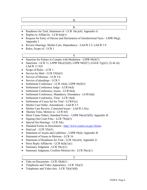# $\overline{O}$

## R

- Readiness for Trial, Statement of LCR 16(c)(4); Appendix G
- Replies to Affidavits LCR  $6(d)(1)$
- Request for Entry of Decree and Declaration of Jurisdictional Facts LSPR 94(g); Appendix I
- Review Hearings, Shelter Care, Dependency LJuCR 2.5, LJuCR 3.9
- Rules, Scope of LCR 1

## S

- Sanction for Failure to Comply with Mediation LSPR 94(f)(7)
- Sanctions LCR 11, LSPR 94(e)(5)(D), LSPR 94(f)(7), GALR 7(g)(2), (3) & (4), LJuCR 11.5(f)
- Scope of Rules LCR 1
- Service by Mail LCR  $55(b)(5)$
- Service of Motions LCR 5-6
- Service of pleadings LCR 5
- Settlement Conference LCR 16(d), LSPR  $94(f)(3)$
- Settlement Conference Judge LCR16(d)
- Settlement Conference, Issues LCR16(d)
- Settlement Conference, Mandatory Attendance LCR16(d)
- Settlement Conference, Time LCR 16(d)
- Settlement of Cases Set for Trial LCR41(e)
- Shelter Care Order, Amendment LJuCR 2.5
- Shelter Care Review, Contested Issues LJuCR 2.5(a)
- Shorten Time, Motion to LCR  $6(f)$
- Show Cause Orders, Standard Forms LSPR 94(e)(5)(D); Appendix H
- Signing Out Court Files LCR 79(d)(3)
- Special Set Hearings LCR  $5(k)$
- Standard Forms in Dissolution [http://www.courts.wa.gov/forms.](http://www.courts.wa.gov/forms)
- StarLeaf LCR  $7(b)(5)$
- Statement of Assets and Liabilities LSPR 94(d); Appendix B
- Statement of Issues in Motions LCR 16
- Statement of Readiness for Trial LCR 16(c)(4); Appendix G
- Strict Reply Affidavits LCR  $6(d)(1)(c)$
- Summary Judgment LCR  $56(c)(1)$
- Summary Judgment, Confirm Motions for LCR  $56(c)(1)$

# T

- Tabs on Documents LCR  $10(d)(1)$
- Telephonic and Video Appearance LCR 7(b)(5)
- Telephonic and Video fees LCR  $7(b)(5)(B)$